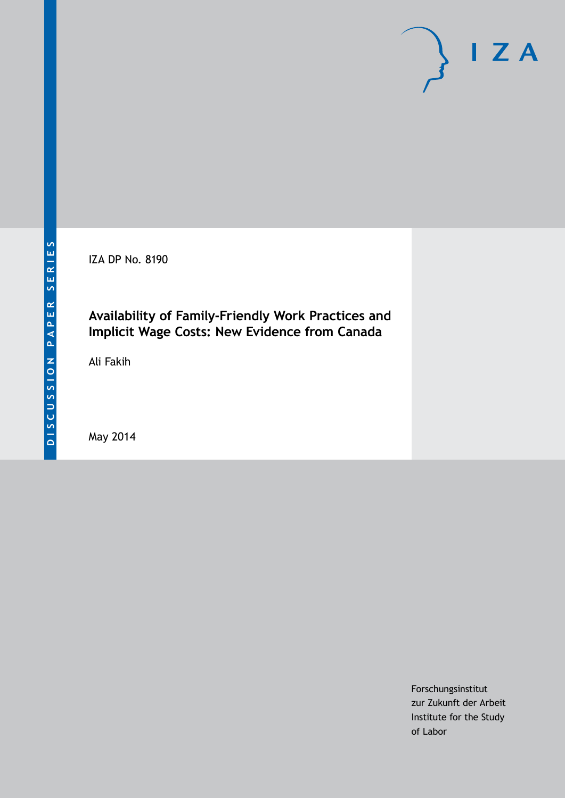IZA DP No. 8190

## **Availability of Family-Friendly Work Practices and Implicit Wage Costs: New Evidence from Canada**

Ali Fakih

May 2014

Forschungsinstitut zur Zukunft der Arbeit Institute for the Study of Labor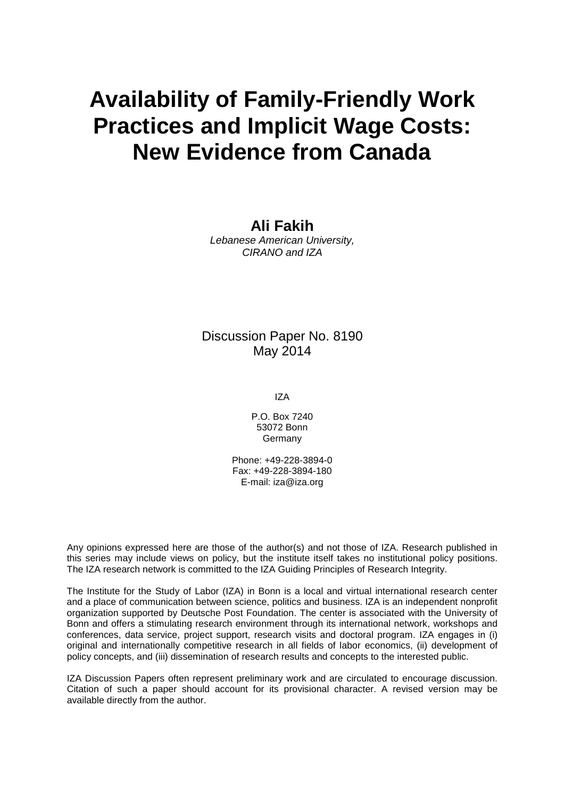# **Availability of Family-Friendly Work Practices and Implicit Wage Costs: New Evidence from Canada**

## **Ali Fakih**

*Lebanese American University, CIRANO and IZA*

## Discussion Paper No. 8190 May 2014

IZA

P.O. Box 7240 53072 Bonn Germany

Phone: +49-228-3894-0 Fax: +49-228-3894-180 E-mail: [iza@iza.org](mailto:iza@iza.org)

Any opinions expressed here are those of the author(s) and not those of IZA. Research published in this series may include views on policy, but the institute itself takes no institutional policy positions. The IZA research network is committed to the IZA Guiding Principles of Research Integrity.

The Institute for the Study of Labor (IZA) in Bonn is a local and virtual international research center and a place of communication between science, politics and business. IZA is an independent nonprofit organization supported by Deutsche Post Foundation. The center is associated with the University of Bonn and offers a stimulating research environment through its international network, workshops and conferences, data service, project support, research visits and doctoral program. IZA engages in (i) original and internationally competitive research in all fields of labor economics, (ii) development of policy concepts, and (iii) dissemination of research results and concepts to the interested public.

IZA Discussion Papers often represent preliminary work and are circulated to encourage discussion. Citation of such a paper should account for its provisional character. A revised version may be available directly from the author.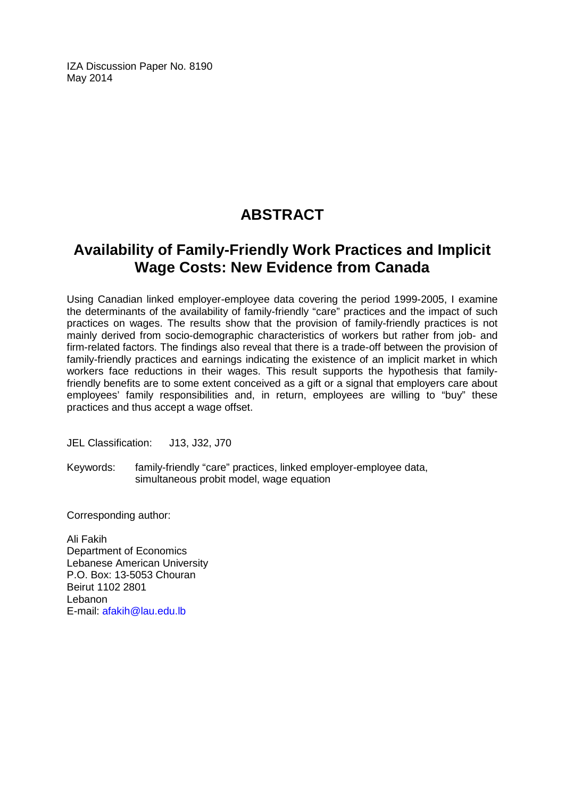IZA Discussion Paper No. 8190 May 2014

# **ABSTRACT**

# **Availability of Family-Friendly Work Practices and Implicit Wage Costs: New Evidence from Canada**

Using Canadian linked employer-employee data covering the period 1999-2005, I examine the determinants of the availability of family-friendly "care" practices and the impact of such practices on wages. The results show that the provision of family-friendly practices is not mainly derived from socio-demographic characteristics of workers but rather from job- and firm-related factors. The findings also reveal that there is a trade-off between the provision of family-friendly practices and earnings indicating the existence of an implicit market in which workers face reductions in their wages. This result supports the hypothesis that familyfriendly benefits are to some extent conceived as a gift or a signal that employers care about employees' family responsibilities and, in return, employees are willing to "buy" these practices and thus accept a wage offset.

JEL Classification: J13, J32, J70

Keywords: family-friendly "care" practices, linked employer-employee data, simultaneous probit model, wage equation

Corresponding author:

Ali Fakih Department of Economics Lebanese American University P.O. Box: 13-5053 Chouran Beirut 1102 2801 Lebanon E-mail: [afakih@lau.edu.lb](mailto:afakih@lau.edu.lb)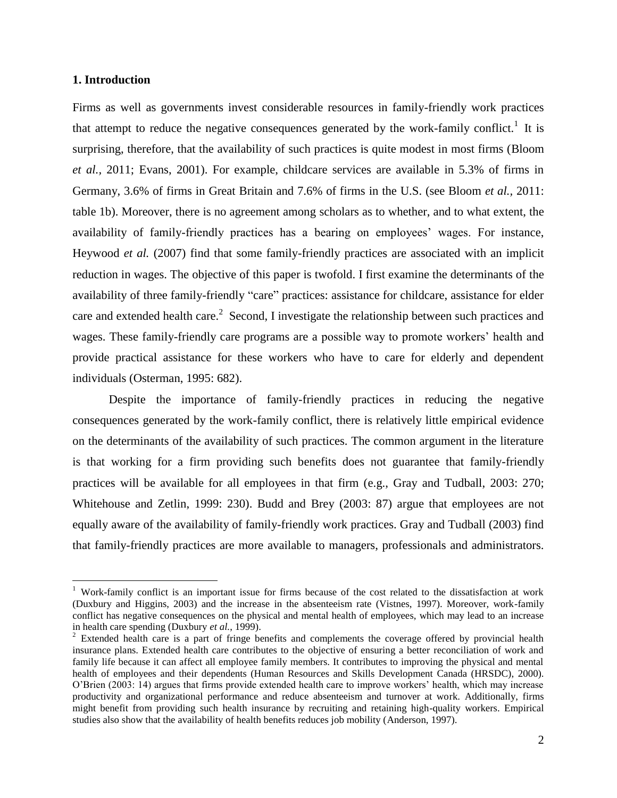#### **1. Introduction**

 $\overline{a}$ 

Firms as well as governments invest considerable resources in family-friendly work practices that attempt to reduce the negative consequences generated by the work-family conflict.<sup>1</sup> It is surprising, therefore, that the availability of such practices is quite modest in most firms (Bloom *et al.,* 2011; Evans, 2001). For example, childcare services are available in 5.3% of firms in Germany, 3.6% of firms in Great Britain and 7.6% of firms in the U.S. (see Bloom *et al.,* 2011: table 1b). Moreover, there is no agreement among scholars as to whether, and to what extent, the availability of family-friendly practices has a bearing on employees' wages. For instance, Heywood *et al.* (2007) find that some family-friendly practices are associated with an implicit reduction in wages. The objective of this paper is twofold. I first examine the determinants of the availability of three family-friendly "care" practices: assistance for childcare, assistance for elder care and extended health care. $2$  Second, I investigate the relationship between such practices and wages. These family-friendly care programs are a possible way to promote workers' health and provide practical assistance for these workers who have to care for elderly and dependent individuals (Osterman, 1995: 682).

Despite the importance of family-friendly practices in reducing the negative consequences generated by the work-family conflict, there is relatively little empirical evidence on the determinants of the availability of such practices. The common argument in the literature is that working for a firm providing such benefits does not guarantee that family-friendly practices will be available for all employees in that firm (e.g., Gray and Tudball, 2003: 270; Whitehouse and Zetlin, 1999: 230). Budd and Brey (2003: 87) argue that employees are not equally aware of the availability of family-friendly work practices. Gray and Tudball (2003) find that family-friendly practices are more available to managers, professionals and administrators.

<sup>&</sup>lt;sup>1</sup> Work-family conflict is an important issue for firms because of the cost related to the dissatisfaction at work (Duxbury and Higgins, 2003) and the increase in the absenteeism rate (Vistnes, 1997). Moreover, work-family conflict has negative consequences on the physical and mental health of employees, which may lead to an increase in health care spending (Duxbury *et al.*, 1999).

<sup>&</sup>lt;sup>2</sup> Extended health care is a part of fringe benefits and complements the coverage offered by provincial health insurance plans. Extended health care contributes to the objective of ensuring a better reconciliation of work and family life because it can affect all employee family members. It contributes to improving the physical and mental health of employees and their dependents (Human Resources and Skills Development Canada (HRSDC), 2000). O'Brien (2003: 14) argues that firms provide extended health care to improve workers' health, which may increase productivity and organizational performance and reduce absenteeism and turnover at work. Additionally, firms might benefit from providing such health insurance by recruiting and retaining high-quality workers. Empirical studies also show that the availability of health benefits reduces job mobility (Anderson, 1997).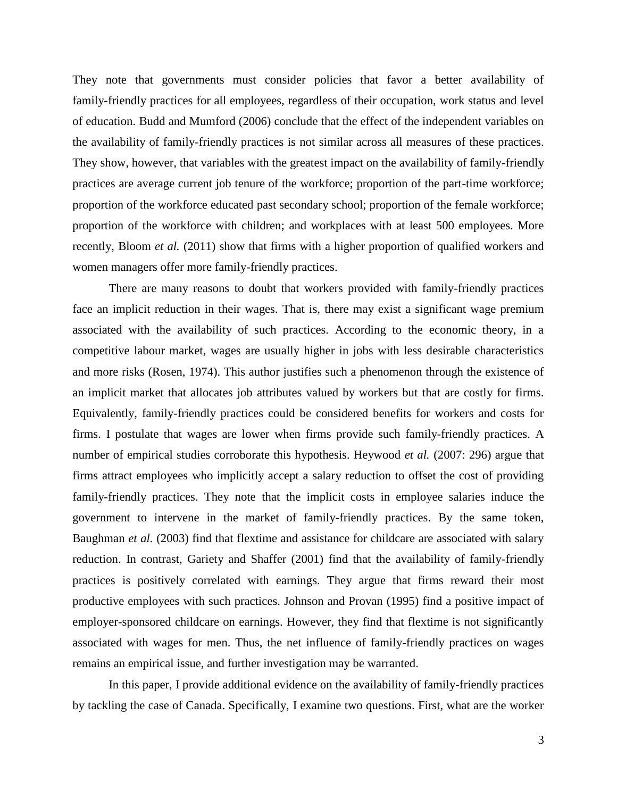They note that governments must consider policies that favor a better availability of family-friendly practices for all employees, regardless of their occupation, work status and level of education. Budd and Mumford (2006) conclude that the effect of the independent variables on the availability of family-friendly practices is not similar across all measures of these practices. They show, however, that variables with the greatest impact on the availability of family-friendly practices are average current job tenure of the workforce; proportion of the part-time workforce; proportion of the workforce educated past secondary school; proportion of the female workforce; proportion of the workforce with children; and workplaces with at least 500 employees. More recently, Bloom *et al.* (2011) show that firms with a higher proportion of qualified workers and women managers offer more family-friendly practices.

There are many reasons to doubt that workers provided with family-friendly practices face an implicit reduction in their wages. That is, there may exist a significant wage premium associated with the availability of such practices. According to the economic theory, in a competitive labour market, wages are usually higher in jobs with less desirable characteristics and more risks (Rosen, 1974). This author justifies such a phenomenon through the existence of an implicit market that allocates job attributes valued by workers but that are costly for firms. Equivalently, family-friendly practices could be considered benefits for workers and costs for firms. I postulate that wages are lower when firms provide such family-friendly practices. A number of empirical studies corroborate this hypothesis. Heywood *et al.* (2007: 296) argue that firms attract employees who implicitly accept a salary reduction to offset the cost of providing family-friendly practices. They note that the implicit costs in employee salaries induce the government to intervene in the market of family-friendly practices. By the same token, Baughman *et al.* (2003) find that flextime and assistance for childcare are associated with salary reduction. In contrast, Gariety and Shaffer (2001) find that the availability of family-friendly practices is positively correlated with earnings. They argue that firms reward their most productive employees with such practices. Johnson and Provan (1995) find a positive impact of employer-sponsored childcare on earnings. However, they find that flextime is not significantly associated with wages for men. Thus, the net influence of family-friendly practices on wages remains an empirical issue, and further investigation may be warranted.

In this paper, I provide additional evidence on the availability of family-friendly practices by tackling the case of Canada. Specifically, I examine two questions. First, what are the worker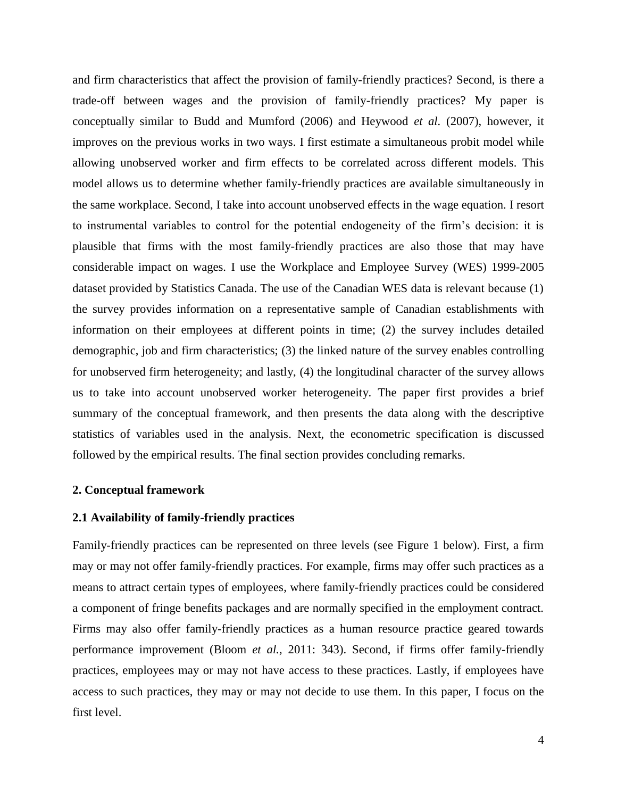and firm characteristics that affect the provision of family-friendly practices? Second, is there a trade-off between wages and the provision of family-friendly practices? My paper is conceptually similar to Budd and Mumford (2006) and Heywood *et al.* (2007), however, it improves on the previous works in two ways. I first estimate a simultaneous probit model while allowing unobserved worker and firm effects to be correlated across different models. This model allows us to determine whether family-friendly practices are available simultaneously in the same workplace. Second, I take into account unobserved effects in the wage equation. I resort to instrumental variables to control for the potential endogeneity of the firm's decision: it is plausible that firms with the most family-friendly practices are also those that may have considerable impact on wages. I use the Workplace and Employee Survey (WES) 1999-2005 dataset provided by Statistics Canada. The use of the Canadian WES data is relevant because (1) the survey provides information on a representative sample of Canadian establishments with information on their employees at different points in time; (2) the survey includes detailed demographic, job and firm characteristics; (3) the linked nature of the survey enables controlling for unobserved firm heterogeneity; and lastly, (4) the longitudinal character of the survey allows us to take into account unobserved worker heterogeneity. The paper first provides a brief summary of the conceptual framework, and then presents the data along with the descriptive statistics of variables used in the analysis. Next, the econometric specification is discussed followed by the empirical results. The final section provides concluding remarks.

#### **2. Conceptual framework**

#### **2.1 Availability of family-friendly practices**

Family-friendly practices can be represented on three levels (see Figure 1 below). First, a firm may or may not offer family-friendly practices. For example, firms may offer such practices as a means to attract certain types of employees, where family-friendly practices could be considered a component of fringe benefits packages and are normally specified in the employment contract. Firms may also offer family-friendly practices as a human resource practice geared towards performance improvement (Bloom *et al.,* 2011: 343). Second, if firms offer family-friendly practices, employees may or may not have access to these practices. Lastly, if employees have access to such practices, they may or may not decide to use them. In this paper, I focus on the first level.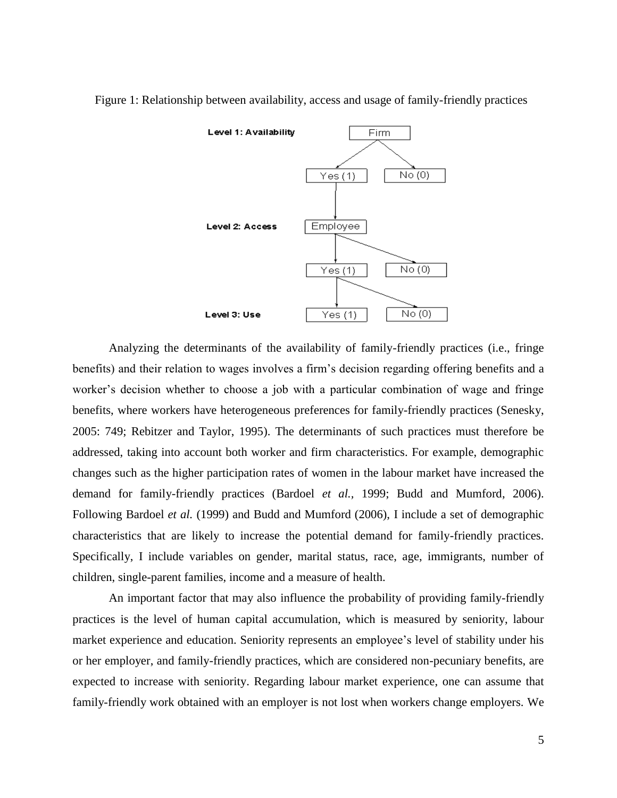

Figure 1: Relationship between availability, access and usage of family-friendly practices

Analyzing the determinants of the availability of family-friendly practices (i.e., fringe benefits) and their relation to wages involves a firm's decision regarding offering benefits and a worker's decision whether to choose a job with a particular combination of wage and fringe benefits, where workers have heterogeneous preferences for family-friendly practices (Senesky, 2005: 749; Rebitzer and Taylor, 1995). The determinants of such practices must therefore be addressed, taking into account both worker and firm characteristics. For example, demographic changes such as the higher participation rates of women in the labour market have increased the demand for family-friendly practices (Bardoel *et al.,* 1999; Budd and Mumford, 2006). Following Bardoel *et al.* (1999) and Budd and Mumford (2006), I include a set of demographic characteristics that are likely to increase the potential demand for family-friendly practices. Specifically, I include variables on gender, marital status, race, age, immigrants, number of children, single-parent families, income and a measure of health.

An important factor that may also influence the probability of providing family-friendly practices is the level of human capital accumulation, which is measured by seniority, labour market experience and education. Seniority represents an employee's level of stability under his or her employer, and family-friendly practices, which are considered non-pecuniary benefits, are expected to increase with seniority. Regarding labour market experience, one can assume that family-friendly work obtained with an employer is not lost when workers change employers. We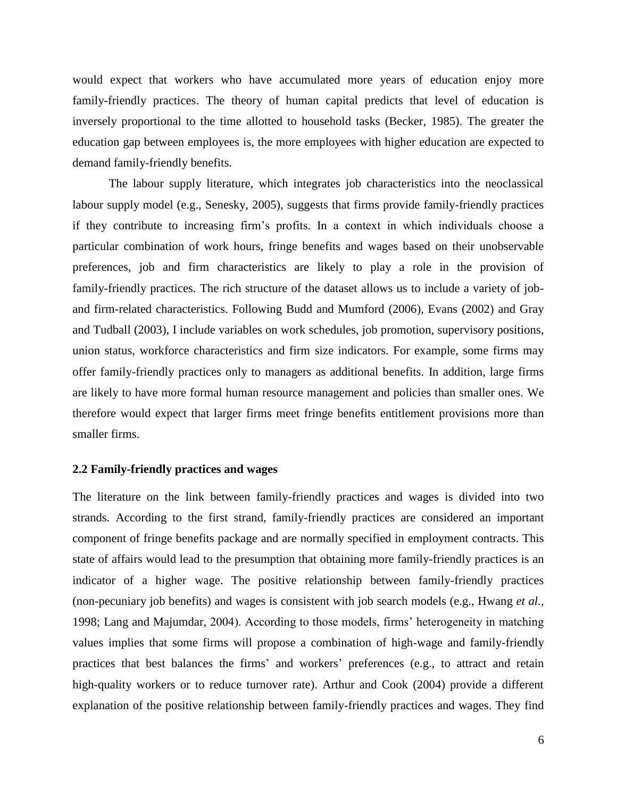would expect that workers who have accumulated more years of education enjoy more family-friendly practices. The theory of human capital predicts that level of education is inversely proportional to the time allotted to household tasks (Becker, 1985). The greater the education gap between employees is, the more employees with higher education are expected to demand family-friendly benefits.

The labour supply literature, which integrates job characteristics into the neoclassical labour supply model (e.g., Senesky, 2005), suggests that firms provide family-friendly practices if they contribute to increasing firm's profits. In a context in which individuals choose a particular combination of work hours, fringe benefits and wages based on their unobservable preferences, job and firm characteristics are likely to play a role in the provision of family-friendly practices. The rich structure of the dataset allows us to include a variety of joband firm-related characteristics. Following Budd and Mumford (2006), Evans (2002) and Gray and Tudball (2003), I include variables on work schedules, job promotion, supervisory positions, union status, workforce characteristics and firm size indicators. For example, some firms may offer family-friendly practices only to managers as additional benefits. In addition, large firms are likely to have more formal human resource management and policies than smaller ones. We therefore would expect that larger firms meet fringe benefits entitlement provisions more than smaller firms.

#### **2.2 Family-friendly practices and wages**

The literature on the link between family-friendly practices and wages is divided into two strands. According to the first strand, family-friendly practices are considered an important component of fringe benefits package and are normally specified in employment contracts. This state of affairs would lead to the presumption that obtaining more family-friendly practices is an indicator of a higher wage. The positive relationship between family-friendly practices (non-pecuniary job benefits) and wages is consistent with job search models (e.g., Hwang *et al.,* 1998; Lang and Majumdar, 2004). According to those models, firms' heterogeneity in matching values implies that some firms will propose a combination of high-wage and family-friendly practices that best balances the firms' and workers' preferences (e.g., to attract and retain high-quality workers or to reduce turnover rate). Arthur and Cook (2004) provide a different explanation of the positive relationship between family-friendly practices and wages. They find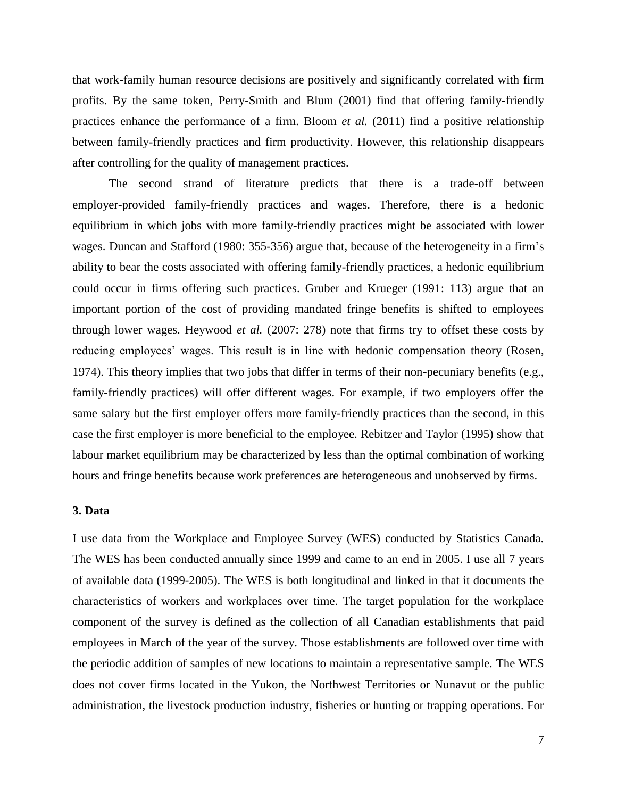that work-family human resource decisions are positively and significantly correlated with firm profits. By the same token, Perry-Smith and Blum (2001) find that offering family-friendly practices enhance the performance of a firm. Bloom *et al.* (2011) find a positive relationship between family-friendly practices and firm productivity. However, this relationship disappears after controlling for the quality of management practices.

The second strand of literature predicts that there is a trade-off between employer-provided family-friendly practices and wages. Therefore, there is a hedonic equilibrium in which jobs with more family-friendly practices might be associated with lower wages. Duncan and Stafford (1980: 355-356) argue that, because of the heterogeneity in a firm's ability to bear the costs associated with offering family-friendly practices, a hedonic equilibrium could occur in firms offering such practices. Gruber and Krueger (1991: 113) argue that an important portion of the cost of providing mandated fringe benefits is shifted to employees through lower wages. Heywood *et al.* (2007: 278) note that firms try to offset these costs by reducing employees' wages. This result is in line with hedonic compensation theory (Rosen, 1974). This theory implies that two jobs that differ in terms of their non-pecuniary benefits (e.g., family-friendly practices) will offer different wages. For example, if two employers offer the same salary but the first employer offers more family-friendly practices than the second, in this case the first employer is more beneficial to the employee. Rebitzer and Taylor (1995) show that labour market equilibrium may be characterized by less than the optimal combination of working hours and fringe benefits because work preferences are heterogeneous and unobserved by firms.

#### **3. Data**

I use data from the Workplace and Employee Survey (WES) conducted by Statistics Canada. The WES has been conducted annually since 1999 and came to an end in 2005. I use all 7 years of available data (1999-2005). The WES is both longitudinal and linked in that it documents the characteristics of workers and workplaces over time. The target population for the workplace component of the survey is defined as the collection of all Canadian establishments that paid employees in March of the year of the survey. Those establishments are followed over time with the periodic addition of samples of new locations to maintain a representative sample. The WES does not cover firms located in the Yukon, the Northwest Territories or Nunavut or the public administration, the livestock production industry, fisheries or hunting or trapping operations. For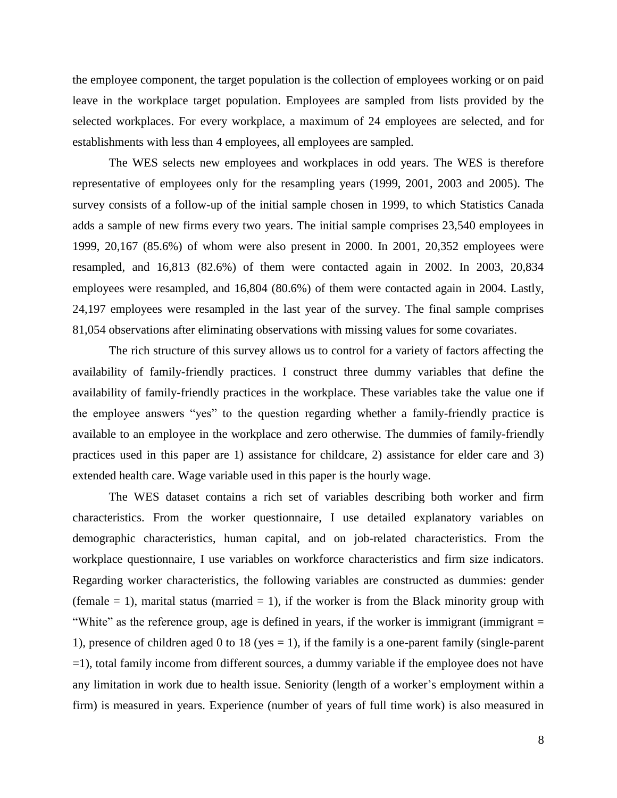the employee component, the target population is the collection of employees working or on paid leave in the workplace target population. Employees are sampled from lists provided by the selected workplaces. For every workplace, a maximum of 24 employees are selected, and for establishments with less than 4 employees, all employees are sampled.

The WES selects new employees and workplaces in odd years. The WES is therefore representative of employees only for the resampling years (1999, 2001, 2003 and 2005). The survey consists of a follow-up of the initial sample chosen in 1999, to which Statistics Canada adds a sample of new firms every two years. The initial sample comprises 23,540 employees in 1999, 20,167 (85.6%) of whom were also present in 2000. In 2001, 20,352 employees were resampled, and 16,813 (82.6%) of them were contacted again in 2002. In 2003, 20,834 employees were resampled, and 16,804 (80.6%) of them were contacted again in 2004. Lastly, 24,197 employees were resampled in the last year of the survey. The final sample comprises 81,054 observations after eliminating observations with missing values for some covariates.

The rich structure of this survey allows us to control for a variety of factors affecting the availability of family-friendly practices. I construct three dummy variables that define the availability of family-friendly practices in the workplace. These variables take the value one if the employee answers "yes" to the question regarding whether a family-friendly practice is available to an employee in the workplace and zero otherwise. The dummies of family-friendly practices used in this paper are 1) assistance for childcare, 2) assistance for elder care and 3) extended health care. Wage variable used in this paper is the hourly wage.

The WES dataset contains a rich set of variables describing both worker and firm characteristics. From the worker questionnaire, I use detailed explanatory variables on demographic characteristics, human capital, and on job-related characteristics. From the workplace questionnaire, I use variables on workforce characteristics and firm size indicators. Regarding worker characteristics, the following variables are constructed as dummies: gender (female  $= 1$ ), marital status (married  $= 1$ ), if the worker is from the Black minority group with "White" as the reference group, age is defined in years, if the worker is immigrant (immigrant  $=$ 1), presence of children aged 0 to 18 (yes  $= 1$ ), if the family is a one-parent family (single-parent =1), total family income from different sources, a dummy variable if the employee does not have any limitation in work due to health issue. Seniority (length of a worker's employment within a firm) is measured in years. Experience (number of years of full time work) is also measured in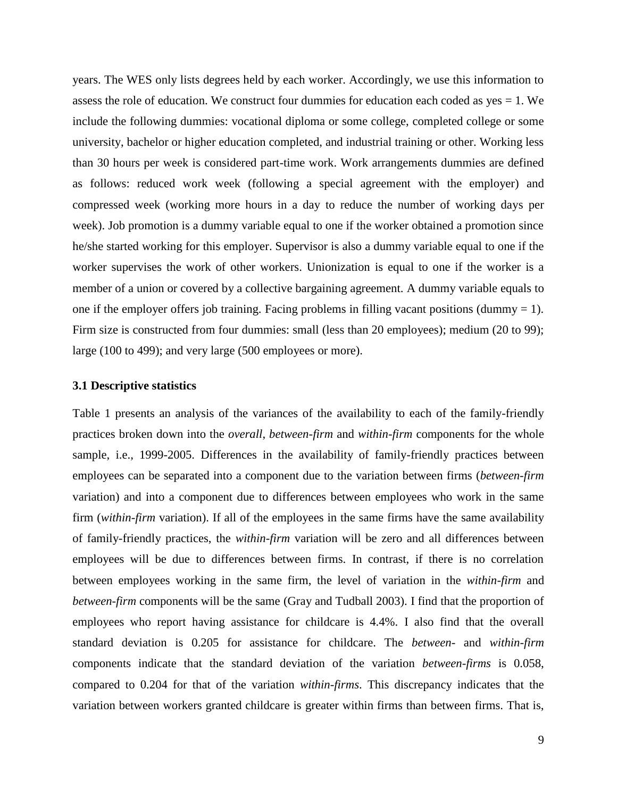years. The WES only lists degrees held by each worker. Accordingly, we use this information to assess the role of education. We construct four dummies for education each coded as  $yes = 1$ . We include the following dummies: vocational diploma or some college, completed college or some university, bachelor or higher education completed, and industrial training or other. Working less than 30 hours per week is considered part-time work. Work arrangements dummies are defined as follows: reduced work week (following a special agreement with the employer) and compressed week (working more hours in a day to reduce the number of working days per week). Job promotion is a dummy variable equal to one if the worker obtained a promotion since he/she started working for this employer. Supervisor is also a dummy variable equal to one if the worker supervises the work of other workers. Unionization is equal to one if the worker is a member of a union or covered by a collective bargaining agreement. A dummy variable equals to one if the employer offers job training. Facing problems in filling vacant positions (dummy  $= 1$ ). Firm size is constructed from four dummies: small (less than 20 employees); medium (20 to 99); large (100 to 499); and very large (500 employees or more).

#### **3.1 Descriptive statistics**

Table 1 presents an analysis of the variances of the availability to each of the family-friendly practices broken down into the *overall*, *between-firm* and *within-firm* components for the whole sample, i.e., 1999-2005. Differences in the availability of family-friendly practices between employees can be separated into a component due to the variation between firms (*between-firm* variation) and into a component due to differences between employees who work in the same firm (*within-firm* variation). If all of the employees in the same firms have the same availability of family-friendly practices, the *within-firm* variation will be zero and all differences between employees will be due to differences between firms. In contrast, if there is no correlation between employees working in the same firm, the level of variation in the *within-firm* and *between-firm* components will be the same (Gray and Tudball 2003). I find that the proportion of employees who report having assistance for childcare is 4.4%. I also find that the overall standard deviation is 0.205 for assistance for childcare. The *between-* and *within*-*firm* components indicate that the standard deviation of the variation *between-firms* is 0.058, compared to 0.204 for that of the variation *within-firms*. This discrepancy indicates that the variation between workers granted childcare is greater within firms than between firms. That is,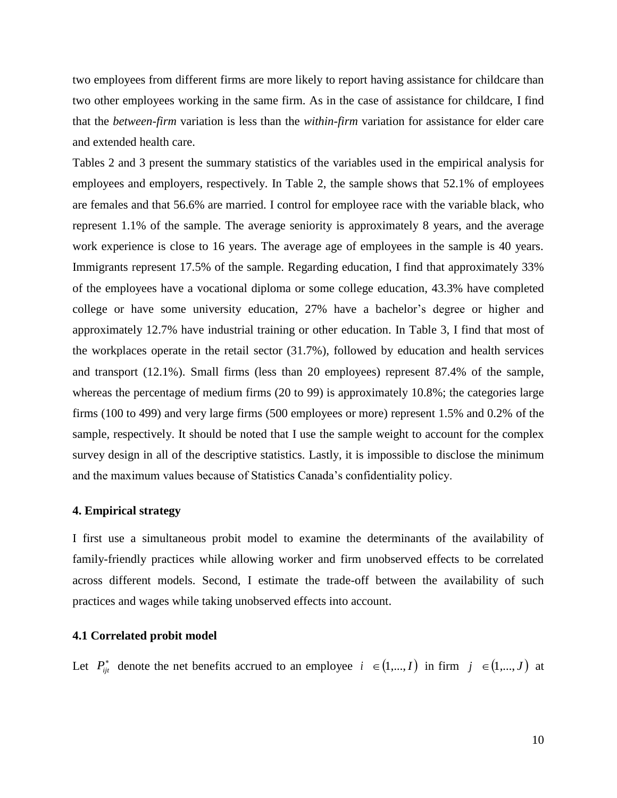two employees from different firms are more likely to report having assistance for childcare than two other employees working in the same firm. As in the case of assistance for childcare, I find that the *between-firm* variation is less than the *within-firm* variation for assistance for elder care and extended health care.

Tables 2 and 3 present the summary statistics of the variables used in the empirical analysis for employees and employers, respectively. In Table 2, the sample shows that 52.1% of employees are females and that 56.6% are married. I control for employee race with the variable black, who represent 1.1% of the sample. The average seniority is approximately 8 years, and the average work experience is close to 16 years. The average age of employees in the sample is 40 years. Immigrants represent 17.5% of the sample. Regarding education, I find that approximately 33% of the employees have a vocational diploma or some college education, 43.3% have completed college or have some university education, 27% have a bachelor's degree or higher and approximately 12.7% have industrial training or other education. In Table 3, I find that most of the workplaces operate in the retail sector (31.7%), followed by education and health services and transport (12.1%). Small firms (less than 20 employees) represent 87.4% of the sample, whereas the percentage of medium firms (20 to 99) is approximately 10.8%; the categories large firms (100 to 499) and very large firms (500 employees or more) represent 1.5% and 0.2% of the sample, respectively. It should be noted that I use the sample weight to account for the complex survey design in all of the descriptive statistics. Lastly, it is impossible to disclose the minimum and the maximum values because of Statistics Canada's confidentiality policy.

#### **4. Empirical strategy**

I first use a simultaneous probit model to examine the determinants of the availability of family-friendly practices while allowing worker and firm unobserved effects to be correlated across different models. Second, I estimate the trade-off between the availability of such practices and wages while taking unobserved effects into account.

#### **4.1 Correlated probit model**

Let  $P_{ij}^*$  denote the net benefits accrued to an employee  $i \in (1,...,I)$  in firm  $j \in (1,...,J)$  at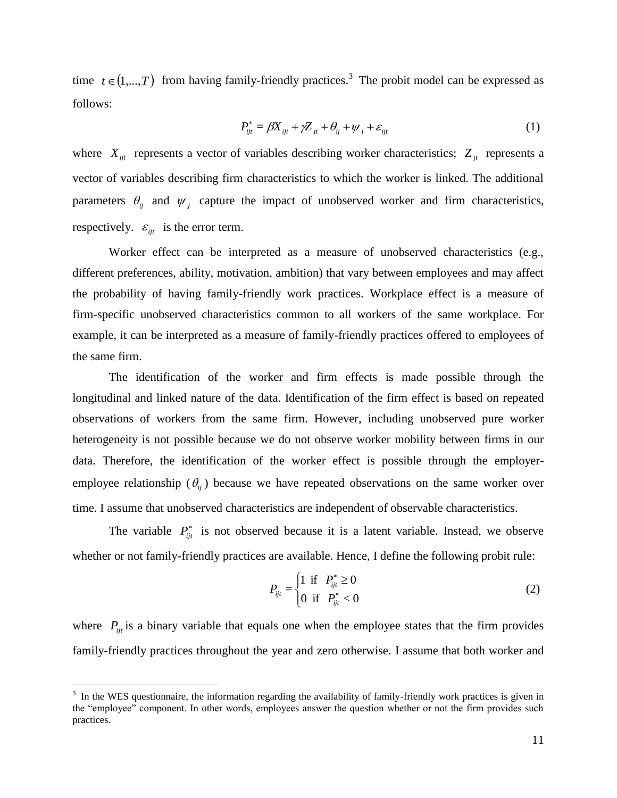time  $t \in (1,...,T)$  from having family-friendly practices.<sup>3</sup> The probit model can be expressed as follows:

$$
P_{ijt}^* = \beta X_{ijt} + \gamma Z_{jt} + \theta_{ij} + \psi_j + \varepsilon_{ijt}
$$
 (1)

where  $X_{ijt}$  represents a vector of variables describing worker characteristics;  $Z_{jt}$  represents a vector of variables describing firm characteristics to which the worker is linked. The additional parameters  $\theta_{ij}$  and  $\psi_j$  capture the impact of unobserved worker and firm characteristics, respectively.  $\varepsilon_{ijt}$  is the error term.

Worker effect can be interpreted as a measure of unobserved characteristics (e.g., different preferences, ability, motivation, ambition) that vary between employees and may affect the probability of having family-friendly work practices. Workplace effect is a measure of firm-specific unobserved characteristics common to all workers of the same workplace. For example, it can be interpreted as a measure of family-friendly practices offered to employees of the same firm.

The identification of the worker and firm effects is made possible through the longitudinal and linked nature of the data. Identification of the firm effect is based on repeated observations of workers from the same firm. However, including unobserved pure worker heterogeneity is not possible because we do not observe worker mobility between firms in our data. Therefore, the identification of the worker effect is possible through the employeremployee relationship  $(\theta_{ij})$  because we have repeated observations on the same worker over time. I assume that unobserved characteristics are independent of observable characteristics.

The variable  $P_{ijt}^*$  is not observed because it is a latent variable. Instead, we observe whether or not family-friendly practices are available. Hence, I define the following probit rule:

$$
P_{ijt} = \begin{cases} 1 & \text{if } P_{ijt}^* \ge 0 \\ 0 & \text{if } P_{ijt}^* < 0 \end{cases}
$$
 (2)

where  $P_{ij}$  is a binary variable that equals one when the employee states that the firm provides family-friendly practices throughout the year and zero otherwise. I assume that both worker and

 $\overline{a}$ 

 $3\,$  In the WES questionnaire, the information regarding the availability of family-friendly work practices is given in the "employee" component. In other words, employees answer the question whether or not the firm provides such practices.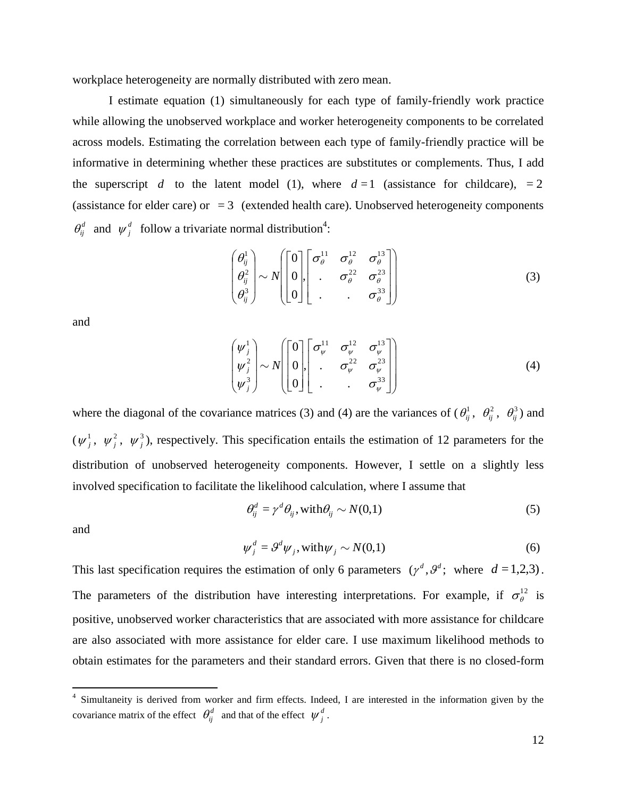workplace heterogeneity are normally distributed with zero mean.

I estimate equation (1) simultaneously for each type of family-friendly work practice while allowing the unobserved workplace and worker heterogeneity components to be correlated across models. Estimating the correlation between each type of family-friendly practice will be informative in determining whether these practices are substitutes or complements. Thus, I add the superscript d to the latent model (1), where  $d=1$  (assistance for childcare),  $=2$ (assistance for elder care) or  $= 3$  (extended health care). Unobserved heterogeneity components  $\theta_{ij}^d$  and  $\psi_j^d$  follow a trivariate normal distribution<sup>4</sup>:

$$
\begin{pmatrix} \theta_{ij}^1 \\ \theta_{ij}^2 \\ \theta_{ij}^3 \end{pmatrix} \sim N \begin{pmatrix} 0 \\ 0 \\ 0 \end{pmatrix} \begin{bmatrix} \sigma_{\theta}^{11} & \sigma_{\theta}^{12} & \sigma_{\theta}^{13} \\ . & \sigma_{\theta}^{22} & \sigma_{\theta}^{23} \\ . & . & \sigma_{\theta}^{33} \end{bmatrix}
$$
 (3)

and

$$
\begin{pmatrix} \psi_j^1 \\ \psi_j^2 \\ \psi_j^3 \end{pmatrix} \sim N \begin{pmatrix} 0 \\ 0 \\ 0 \\ 0 \end{pmatrix} \begin{bmatrix} \sigma_{\psi}^{11} & \sigma_{\psi}^{12} & \sigma_{\psi}^{13} \\ . & \sigma_{\psi}^{22} & \sigma_{\psi}^{23} \\ . & . & \sigma_{\psi}^{33} \end{bmatrix}
$$
 (4)

where the diagonal of the covariance matrices (3) and (4) are the variances of  $(\theta_{ij}^1, \theta_{ij}^2, \theta_{ij}^3)$  and  $(\psi_j^1, \psi_j^2, \psi_j^3)$ , respectively. This specification entails the estimation of 12 parameters for the distribution of unobserved heterogeneity components. However, I settle on a slightly less involved specification to facilitate the likelihood calculation, where I assume that

$$
\theta_{ij}^d = \gamma^d \theta_{ij}, \text{with } \theta_{ij} \sim N(0,1)
$$
\n(5)

and

$$
\psi_j^d = \mathcal{G}^d \psi_j, \text{with } \psi_j \sim N(0,1) \tag{6}
$$

This last specification requires the estimation of only 6 parameters  $(\gamma^d, \theta^d)$ ; where  $d = 1,2,3$ ). The parameters of the distribution have interesting interpretations. For example, if  $\sigma_{\theta}^{12}$  is positive, unobserved worker characteristics that are associated with more assistance for childcare are also associated with more assistance for elder care. I use maximum likelihood methods to obtain estimates for the parameters and their standard errors. Given that there is no closed-form

 4 Simultaneity is derived from worker and firm effects. Indeed, I are interested in the information given by the covariance matrix of the effect  $\theta_{ij}^d$  and that of the effect  $\psi_j^d$ .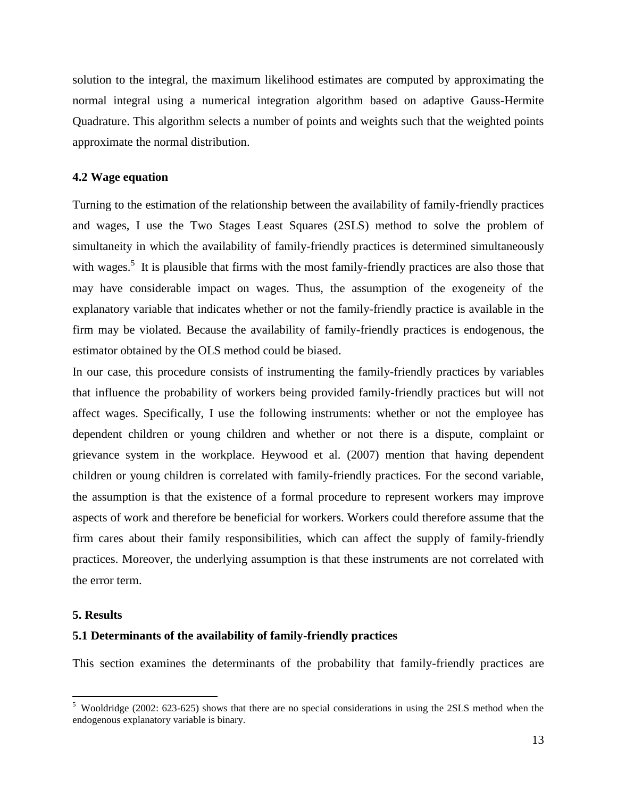solution to the integral, the maximum likelihood estimates are computed by approximating the normal integral using a numerical integration algorithm based on adaptive Gauss-Hermite Quadrature. This algorithm selects a number of points and weights such that the weighted points approximate the normal distribution.

#### **4.2 Wage equation**

Turning to the estimation of the relationship between the availability of family-friendly practices and wages, I use the Two Stages Least Squares (2SLS) method to solve the problem of simultaneity in which the availability of family-friendly practices is determined simultaneously with wages.<sup>5</sup> It is plausible that firms with the most family-friendly practices are also those that may have considerable impact on wages. Thus, the assumption of the exogeneity of the explanatory variable that indicates whether or not the family-friendly practice is available in the firm may be violated. Because the availability of family-friendly practices is endogenous, the estimator obtained by the OLS method could be biased.

In our case, this procedure consists of instrumenting the family-friendly practices by variables that influence the probability of workers being provided family-friendly practices but will not affect wages. Specifically, I use the following instruments: whether or not the employee has dependent children or young children and whether or not there is a dispute, complaint or grievance system in the workplace. Heywood et al. (2007) mention that having dependent children or young children is correlated with family-friendly practices. For the second variable, the assumption is that the existence of a formal procedure to represent workers may improve aspects of work and therefore be beneficial for workers. Workers could therefore assume that the firm cares about their family responsibilities, which can affect the supply of family-friendly practices. Moreover, the underlying assumption is that these instruments are not correlated with the error term.

#### **5. Results**

 $\overline{a}$ 

#### **5.1 Determinants of the availability of family-friendly practices**

This section examines the determinants of the probability that family-friendly practices are

<sup>&</sup>lt;sup>5</sup> Wooldridge (2002: 623-625) shows that there are no special considerations in using the 2SLS method when the endogenous explanatory variable is binary.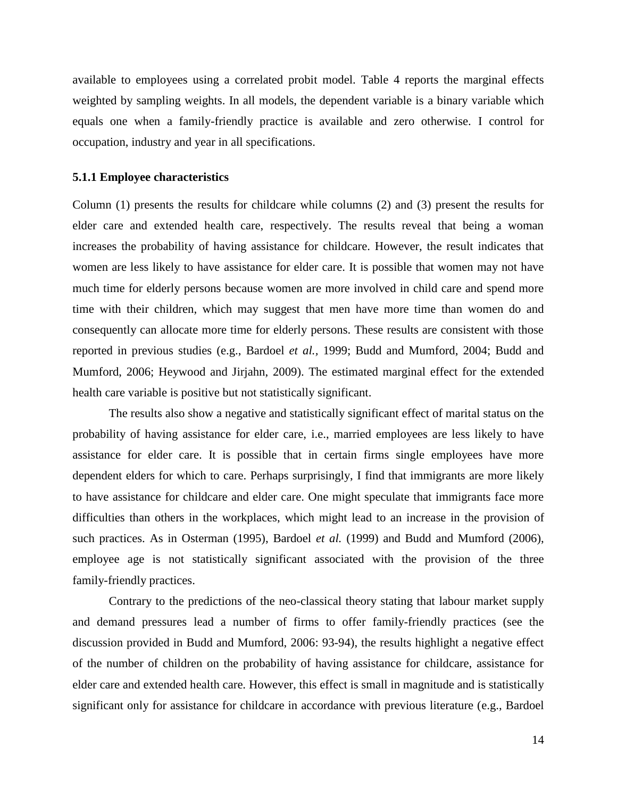available to employees using a correlated probit model. Table 4 reports the marginal effects weighted by sampling weights. In all models, the dependent variable is a binary variable which equals one when a family-friendly practice is available and zero otherwise. I control for occupation, industry and year in all specifications.

#### **5.1.1 Employee characteristics**

Column (1) presents the results for childcare while columns (2) and (3) present the results for elder care and extended health care, respectively. The results reveal that being a woman increases the probability of having assistance for childcare. However, the result indicates that women are less likely to have assistance for elder care. It is possible that women may not have much time for elderly persons because women are more involved in child care and spend more time with their children, which may suggest that men have more time than women do and consequently can allocate more time for elderly persons. These results are consistent with those reported in previous studies (e.g., Bardoel *et al.,* 1999; Budd and Mumford, 2004; Budd and Mumford, 2006; Heywood and Jirjahn, 2009). The estimated marginal effect for the extended health care variable is positive but not statistically significant.

The results also show a negative and statistically significant effect of marital status on the probability of having assistance for elder care, i.e., married employees are less likely to have assistance for elder care. It is possible that in certain firms single employees have more dependent elders for which to care. Perhaps surprisingly, I find that immigrants are more likely to have assistance for childcare and elder care. One might speculate that immigrants face more difficulties than others in the workplaces, which might lead to an increase in the provision of such practices. As in Osterman (1995), Bardoel *et al.* (1999) and Budd and Mumford (2006), employee age is not statistically significant associated with the provision of the three family-friendly practices.

Contrary to the predictions of the neo-classical theory stating that labour market supply and demand pressures lead a number of firms to offer family-friendly practices (see the discussion provided in Budd and Mumford, 2006: 93-94), the results highlight a negative effect of the number of children on the probability of having assistance for childcare, assistance for elder care and extended health care. However, this effect is small in magnitude and is statistically significant only for assistance for childcare in accordance with previous literature (e.g., Bardoel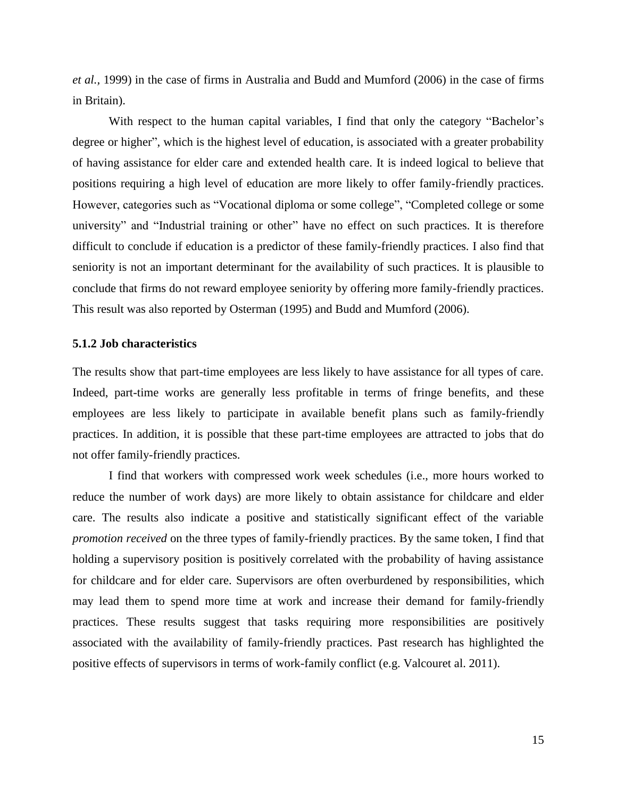*et al.,* 1999) in the case of firms in Australia and Budd and Mumford (2006) in the case of firms in Britain).

With respect to the human capital variables, I find that only the category "Bachelor's degree or higher", which is the highest level of education, is associated with a greater probability of having assistance for elder care and extended health care. It is indeed logical to believe that positions requiring a high level of education are more likely to offer family-friendly practices. However, categories such as "Vocational diploma or some college", "Completed college or some university" and "Industrial training or other" have no effect on such practices. It is therefore difficult to conclude if education is a predictor of these family-friendly practices. I also find that seniority is not an important determinant for the availability of such practices. It is plausible to conclude that firms do not reward employee seniority by offering more family-friendly practices. This result was also reported by Osterman (1995) and Budd and Mumford (2006).

#### **5.1.2 Job characteristics**

The results show that part-time employees are less likely to have assistance for all types of care. Indeed, part-time works are generally less profitable in terms of fringe benefits, and these employees are less likely to participate in available benefit plans such as family-friendly practices. In addition, it is possible that these part-time employees are attracted to jobs that do not offer family-friendly practices.

I find that workers with compressed work week schedules (i.e., more hours worked to reduce the number of work days) are more likely to obtain assistance for childcare and elder care. The results also indicate a positive and statistically significant effect of the variable *promotion received* on the three types of family-friendly practices. By the same token, I find that holding a supervisory position is positively correlated with the probability of having assistance for childcare and for elder care. Supervisors are often overburdened by responsibilities, which may lead them to spend more time at work and increase their demand for family-friendly practices. These results suggest that tasks requiring more responsibilities are positively associated with the availability of family-friendly practices. Past research has highlighted the positive effects of supervisors in terms of work-family conflict (e.g. Valcouret al. 2011).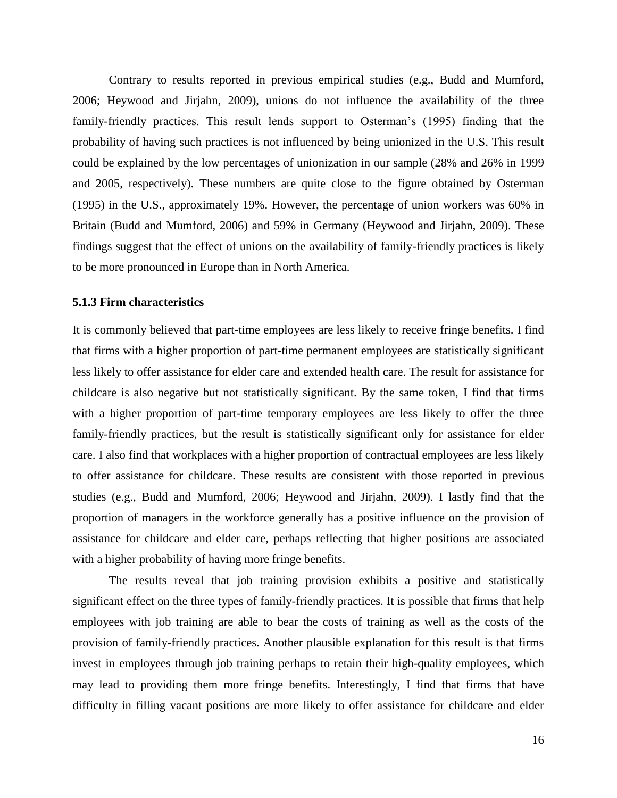Contrary to results reported in previous empirical studies (e.g., Budd and Mumford, 2006; Heywood and Jirjahn, 2009), unions do not influence the availability of the three family-friendly practices. This result lends support to Osterman's (1995) finding that the probability of having such practices is not influenced by being unionized in the U.S. This result could be explained by the low percentages of unionization in our sample (28% and 26% in 1999 and 2005, respectively). These numbers are quite close to the figure obtained by Osterman (1995) in the U.S., approximately 19%. However, the percentage of union workers was 60% in Britain (Budd and Mumford, 2006) and 59% in Germany (Heywood and Jirjahn, 2009). These findings suggest that the effect of unions on the availability of family-friendly practices is likely to be more pronounced in Europe than in North America.

#### **5.1.3 Firm characteristics**

It is commonly believed that part-time employees are less likely to receive fringe benefits. I find that firms with a higher proportion of part-time permanent employees are statistically significant less likely to offer assistance for elder care and extended health care. The result for assistance for childcare is also negative but not statistically significant. By the same token, I find that firms with a higher proportion of part-time temporary employees are less likely to offer the three family-friendly practices, but the result is statistically significant only for assistance for elder care. I also find that workplaces with a higher proportion of contractual employees are less likely to offer assistance for childcare. These results are consistent with those reported in previous studies (e.g., Budd and Mumford, 2006; Heywood and Jirjahn, 2009). I lastly find that the proportion of managers in the workforce generally has a positive influence on the provision of assistance for childcare and elder care, perhaps reflecting that higher positions are associated with a higher probability of having more fringe benefits.

The results reveal that job training provision exhibits a positive and statistically significant effect on the three types of family-friendly practices. It is possible that firms that help employees with job training are able to bear the costs of training as well as the costs of the provision of family-friendly practices. Another plausible explanation for this result is that firms invest in employees through job training perhaps to retain their high-quality employees, which may lead to providing them more fringe benefits. Interestingly, I find that firms that have difficulty in filling vacant positions are more likely to offer assistance for childcare and elder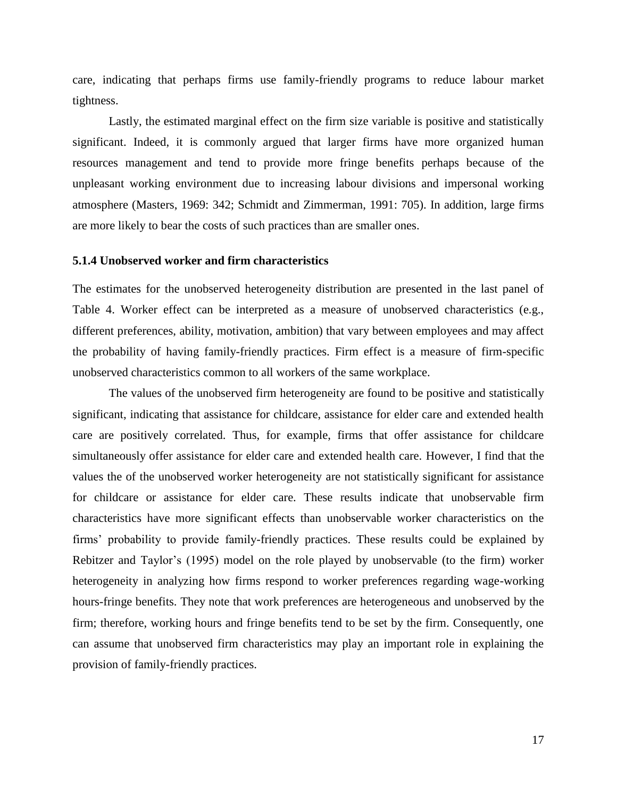care, indicating that perhaps firms use family-friendly programs to reduce labour market tightness.

Lastly, the estimated marginal effect on the firm size variable is positive and statistically significant. Indeed, it is commonly argued that larger firms have more organized human resources management and tend to provide more fringe benefits perhaps because of the unpleasant working environment due to increasing labour divisions and impersonal working atmosphere (Masters, 1969: 342; Schmidt and Zimmerman, 1991: 705). In addition, large firms are more likely to bear the costs of such practices than are smaller ones.

#### **5.1.4 Unobserved worker and firm characteristics**

The estimates for the unobserved heterogeneity distribution are presented in the last panel of Table 4. Worker effect can be interpreted as a measure of unobserved characteristics (e.g., different preferences, ability, motivation, ambition) that vary between employees and may affect the probability of having family-friendly practices. Firm effect is a measure of firm-specific unobserved characteristics common to all workers of the same workplace.

The values of the unobserved firm heterogeneity are found to be positive and statistically significant, indicating that assistance for childcare, assistance for elder care and extended health care are positively correlated. Thus, for example, firms that offer assistance for childcare simultaneously offer assistance for elder care and extended health care. However, I find that the values the of the unobserved worker heterogeneity are not statistically significant for assistance for childcare or assistance for elder care. These results indicate that unobservable firm characteristics have more significant effects than unobservable worker characteristics on the firms' probability to provide family-friendly practices. These results could be explained by Rebitzer and Taylor's (1995) model on the role played by unobservable (to the firm) worker heterogeneity in analyzing how firms respond to worker preferences regarding wage-working hours-fringe benefits. They note that work preferences are heterogeneous and unobserved by the firm; therefore, working hours and fringe benefits tend to be set by the firm. Consequently, one can assume that unobserved firm characteristics may play an important role in explaining the provision of family-friendly practices.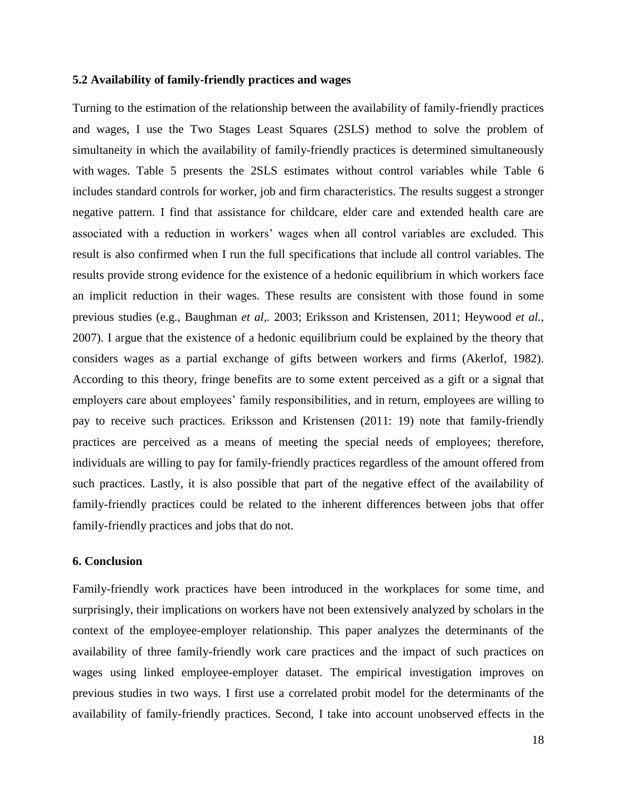#### **5.2 Availability of family-friendly practices and wages**

Turning to the estimation of the relationship between the availability of family-friendly practices and wages, I use the Two Stages Least Squares (2SLS) method to solve the problem of simultaneity in which the availability of family-friendly practices is determined simultaneously with wages. Table 5 presents the 2SLS estimates without control variables while Table 6 includes standard controls for worker, job and firm characteristics. The results suggest a stronger negative pattern. I find that assistance for childcare, elder care and extended health care are associated with a reduction in workers' wages when all control variables are excluded. This result is also confirmed when I run the full specifications that include all control variables. The results provide strong evidence for the existence of a hedonic equilibrium in which workers face an implicit reduction in their wages. These results are consistent with those found in some previous studies (e.g., Baughman *et al,.* 2003; Eriksson and Kristensen, 2011; Heywood *et al.,* 2007). I argue that the existence of a hedonic equilibrium could be explained by the theory that considers wages as a partial exchange of gifts between workers and firms (Akerlof, 1982). According to this theory, fringe benefits are to some extent perceived as a gift or a signal that employers care about employees' family responsibilities, and in return, employees are willing to pay to receive such practices. Eriksson and Kristensen (2011: 19) note that family-friendly practices are perceived as a means of meeting the special needs of employees; therefore, individuals are willing to pay for family-friendly practices regardless of the amount offered from such practices. Lastly, it is also possible that part of the negative effect of the availability of family-friendly practices could be related to the inherent differences between jobs that offer family-friendly practices and jobs that do not.

#### **6. Conclusion**

Family-friendly work practices have been introduced in the workplaces for some time, and surprisingly, their implications on workers have not been extensively analyzed by scholars in the context of the employee-employer relationship. This paper analyzes the determinants of the availability of three family-friendly work care practices and the impact of such practices on wages using linked employee-employer dataset. The empirical investigation improves on previous studies in two ways. I first use a correlated probit model for the determinants of the availability of family-friendly practices. Second, I take into account unobserved effects in the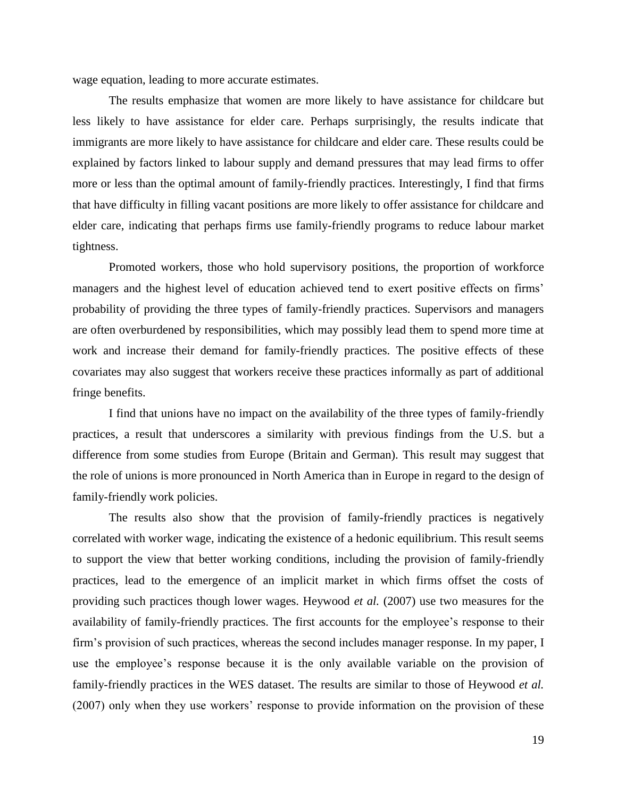wage equation, leading to more accurate estimates.

The results emphasize that women are more likely to have assistance for childcare but less likely to have assistance for elder care. Perhaps surprisingly, the results indicate that immigrants are more likely to have assistance for childcare and elder care. These results could be explained by factors linked to labour supply and demand pressures that may lead firms to offer more or less than the optimal amount of family-friendly practices. Interestingly, I find that firms that have difficulty in filling vacant positions are more likely to offer assistance for childcare and elder care, indicating that perhaps firms use family-friendly programs to reduce labour market tightness.

Promoted workers, those who hold supervisory positions, the proportion of workforce managers and the highest level of education achieved tend to exert positive effects on firms' probability of providing the three types of family-friendly practices. Supervisors and managers are often overburdened by responsibilities, which may possibly lead them to spend more time at work and increase their demand for family-friendly practices. The positive effects of these covariates may also suggest that workers receive these practices informally as part of additional fringe benefits.

I find that unions have no impact on the availability of the three types of family-friendly practices, a result that underscores a similarity with previous findings from the U.S. but a difference from some studies from Europe (Britain and German). This result may suggest that the role of unions is more pronounced in North America than in Europe in regard to the design of family-friendly work policies.

The results also show that the provision of family-friendly practices is negatively correlated with worker wage, indicating the existence of a hedonic equilibrium. This result seems to support the view that better working conditions, including the provision of family-friendly practices, lead to the emergence of an implicit market in which firms offset the costs of providing such practices though lower wages. Heywood *et al.* (2007) use two measures for the availability of family-friendly practices. The first accounts for the employee's response to their firm's provision of such practices, whereas the second includes manager response. In my paper, I use the employee's response because it is the only available variable on the provision of family-friendly practices in the WES dataset. The results are similar to those of Heywood *et al.* (2007) only when they use workers' response to provide information on the provision of these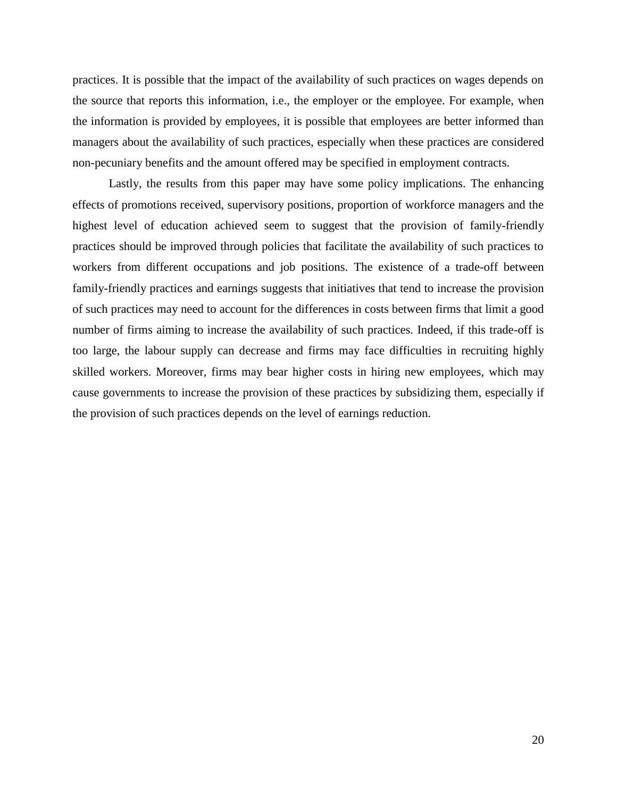practices. It is possible that the impact of the availability of such practices on wages depends on the source that reports this information, i.e., the employer or the employee. For example, when the information is provided by employees, it is possible that employees are better informed than managers about the availability of such practices, especially when these practices are considered non-pecuniary benefits and the amount offered may be specified in employment contracts.

Lastly, the results from this paper may have some policy implications. The enhancing effects of promotions received, supervisory positions, proportion of workforce managers and the highest level of education achieved seem to suggest that the provision of family-friendly practices should be improved through policies that facilitate the availability of such practices to workers from different occupations and job positions. The existence of a trade-off between family-friendly practices and earnings suggests that initiatives that tend to increase the provision of such practices may need to account for the differences in costs between firms that limit a good number of firms aiming to increase the availability of such practices. Indeed, if this trade-off is too large, the labour supply can decrease and firms may face difficulties in recruiting highly skilled workers. Moreover, firms may bear higher costs in hiring new employees, which may cause governments to increase the provision of these practices by subsidizing them, especially if the provision of such practices depends on the level of earnings reduction.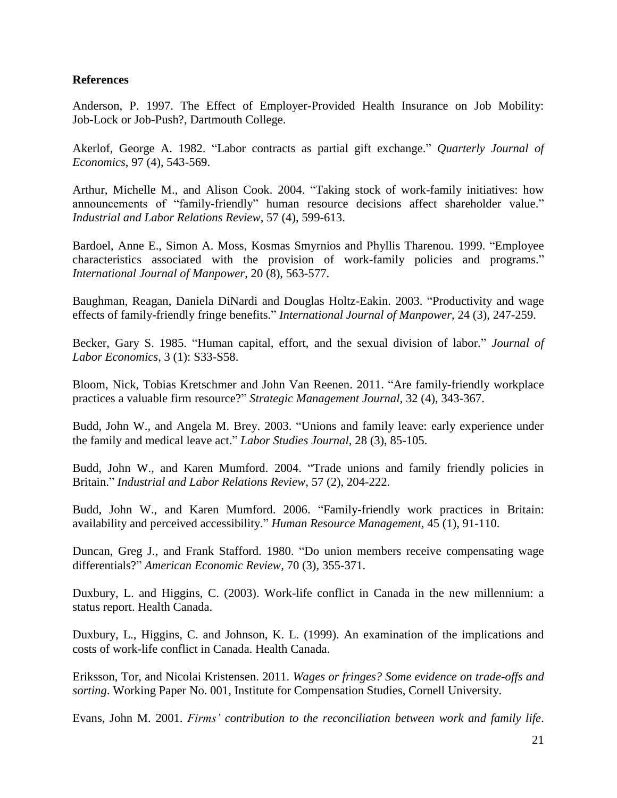### **References**

Anderson, P. 1997. The Effect of Employer-Provided Health Insurance on Job Mobility: Job-Lock or Job-Push?, Dartmouth College.

Akerlof, George A. 1982. "Labor contracts as partial gift exchange." *Quarterly Journal of Economics*, 97 (4), 543-569.

Arthur, Michelle M., and Alison Cook. 2004. "Taking stock of work-family initiatives: how announcements of "family-friendly" human resource decisions affect shareholder value." *Industrial and Labor Relations Review*, 57 (4), 599-613.

Bardoel, Anne E., Simon A. Moss, Kosmas Smyrnios and Phyllis Tharenou. 1999. "Employee characteristics associated with the provision of work-family policies and programs." *International Journal of Manpower*, 20 (8), 563-577.

Baughman, Reagan, Daniela DiNardi and Douglas Holtz-Eakin. 2003. "Productivity and wage effects of family-friendly fringe benefits." *International Journal of Manpower*, 24 (3), 247-259.

Becker, Gary S. 1985. "Human capital, effort, and the sexual division of labor." *Journal of Labor Economics*, 3 (1): S33-S58.

Bloom, Nick, Tobias Kretschmer and John Van Reenen. 2011. "Are family-friendly workplace practices a valuable firm resource?" *Strategic Management Journal*, 32 (4), 343-367.

Budd, John W., and Angela M. Brey. 2003. "Unions and family leave: early experience under the family and medical leave act." *Labor Studies Journal,* 28 (3), 85-105.

Budd, John W., and Karen Mumford. 2004. "Trade unions and family friendly policies in Britain." *Industrial and Labor Relations Review*, 57 (2), 204-222.

Budd, John W., and Karen Mumford. 2006. "Family-friendly work practices in Britain: availability and perceived accessibility." *Human Resource Management*, 45 (1), 91-110.

Duncan, Greg J., and Frank Stafford. 1980. "Do union members receive compensating wage differentials?" *American Economic Review*, 70 (3), 355-371.

Duxbury, L. and Higgins, C. (2003). Work-life conflict in Canada in the new millennium: a status report. Health Canada.

Duxbury, L., Higgins, C. and Johnson, K. L. (1999). An examination of the implications and costs of work-life conflict in Canada. Health Canada.

Eriksson, Tor, and Nicolai Kristensen. 2011. *Wages or fringes? Some evidence on trade-offs and sorting*. Working Paper No. 001, Institute for Compensation Studies, Cornell University.

Evans, John M. 2001. *Firms' contribution to the reconciliation between work and family life*.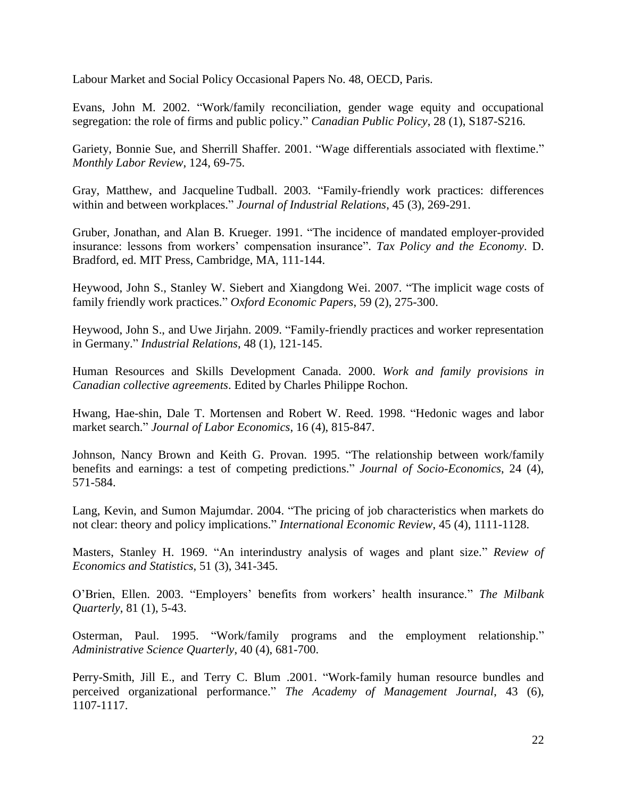Labour Market and Social Policy Occasional Papers No. 48, OECD, Paris.

Evans, John M. 2002. "Work/family reconciliation, gender wage equity and occupational segregation: the role of firms and public policy." *Canadian Public Policy*, 28 (1), S187-S216.

Gariety, Bonnie Sue, and Sherrill Shaffer. 2001. "Wage differentials associated with flextime." *Monthly Labor Review*, 124, 69-75.

Gray, Matthew, and Jacqueline Tudball. 2003. "Family-friendly work practices: differences within and between workplaces." *Journal of Industrial Relations*, 45 (3), 269-291.

Gruber, Jonathan, and Alan B. Krueger. 1991. "The incidence of mandated employer-provided insurance: lessons from workers' compensation insurance". *Tax Policy and the Economy*. D. Bradford, ed. MIT Press, Cambridge, MA, 111-144.

Heywood, John S., Stanley W. Siebert and Xiangdong Wei. 2007. "The implicit wage costs of family friendly work practices." *Oxford Economic Papers*, 59 (2), 275-300.

Heywood, John S., and Uwe Jirjahn. 2009. "Family-friendly practices and worker representation in Germany." *Industrial Relations*, 48 (1), 121-145.

Human Resources and Skills Development Canada. 2000. *Work and family provisions in Canadian collective agreements*. Edited by Charles Philippe Rochon.

Hwang, Hae-shin, Dale T. Mortensen and Robert W. Reed. 1998. "Hedonic wages and labor market search." *Journal of Labor Economics*, 16 (4), 815-847.

Johnson, Nancy Brown and Keith G. Provan. 1995. "The relationship between work/family benefits and earnings: a test of competing predictions." *Journal of Socio-Economics*, 24 (4), 571-584.

Lang, Kevin, and Sumon Majumdar. 2004. "The pricing of job characteristics when markets do not clear: theory and policy implications." *International Economic Review*, 45 (4), 1111-1128.

Masters, Stanley H. 1969. "An interindustry analysis of wages and plant size." *Review of Economics and Statistics*, 51 (3), 341-345.

O'Brien, Ellen. 2003. "Employers' benefits from workers' health insurance." *The Milbank Quarterly*, 81 (1), 5-43.

Osterman, Paul. 1995. "Work/family programs and the employment relationship." *Administrative Science Quarterly*, 40 (4), 681-700.

Perry-Smith, Jill E., and Terry C. Blum .2001. "Work-family human resource bundles and perceived organizational performance." *The Academy of Management Journal*, 43 (6), 1107-1117.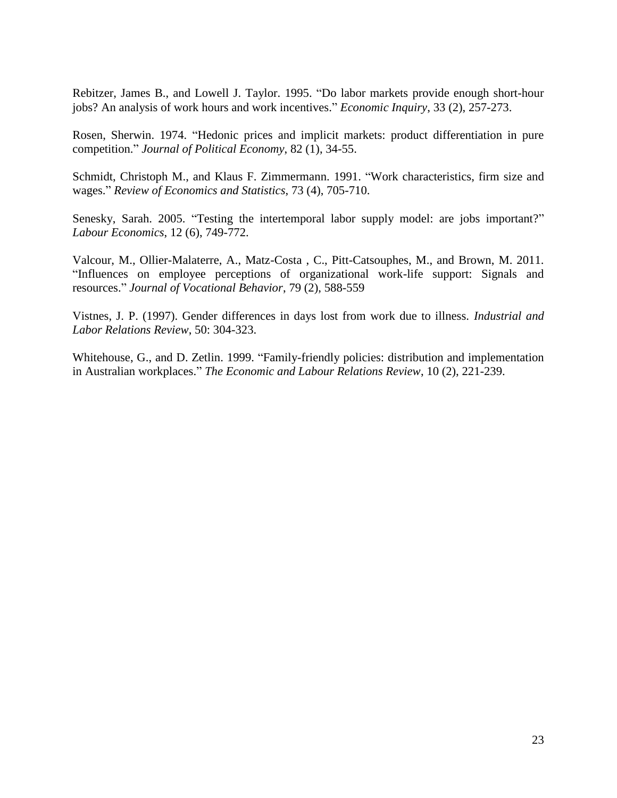Rebitzer, James B., and Lowell J. Taylor. 1995. "Do labor markets provide enough short-hour jobs? An analysis of work hours and work incentives." *Economic Inquiry*, 33 (2), 257-273.

Rosen, Sherwin. 1974. "Hedonic prices and implicit markets: product differentiation in pure competition." *Journal of Political Economy*, 82 (1), 34-55.

Schmidt, Christoph M., and Klaus F. Zimmermann. 1991. "Work characteristics, firm size and wages." *Review of Economics and Statistics*, 73 (4), 705-710.

Senesky, Sarah. 2005. "Testing the intertemporal labor supply model: are jobs important?" *Labour Economics*, 12 (6), 749-772.

Valcour, M., Ollier-Malaterre, A., Matz-Costa , C., Pitt-Catsouphes, M., and Brown, M. 2011. "Influences on employee perceptions of organizational work-life support: Signals and resources." *Journal of Vocational Behavior*, 79 (2), 588-559

Vistnes, J. P. (1997). Gender differences in days lost from work due to illness. *Industrial and Labor Relations Review*, 50: 304-323.

Whitehouse, G., and D. Zetlin. 1999. "Family-friendly policies: distribution and implementation in Australian workplaces." *The Economic and Labour Relations Review*, 10 (2), 221-239.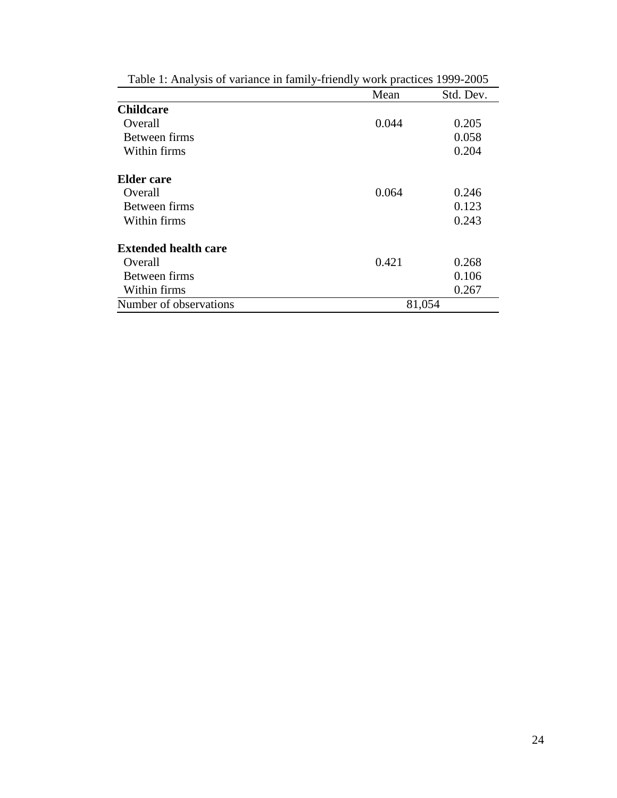|                             | Mean   | Std. Dev. |
|-----------------------------|--------|-----------|
| <b>Childcare</b>            |        |           |
| Overall                     | 0.044  | 0.205     |
| Between firms               |        | 0.058     |
| Within firms                |        | 0.204     |
| <b>Elder</b> care           |        |           |
| Overall                     | 0.064  | 0.246     |
| Between firms               |        | 0.123     |
| Within firms                |        | 0.243     |
| <b>Extended health care</b> |        |           |
| Overall                     | 0.421  | 0.268     |
| Between firms               |        | 0.106     |
| Within firms                |        | 0.267     |
| Number of observations      | 81,054 |           |

Table 1: Analysis of variance in family-friendly work practices 1999-2005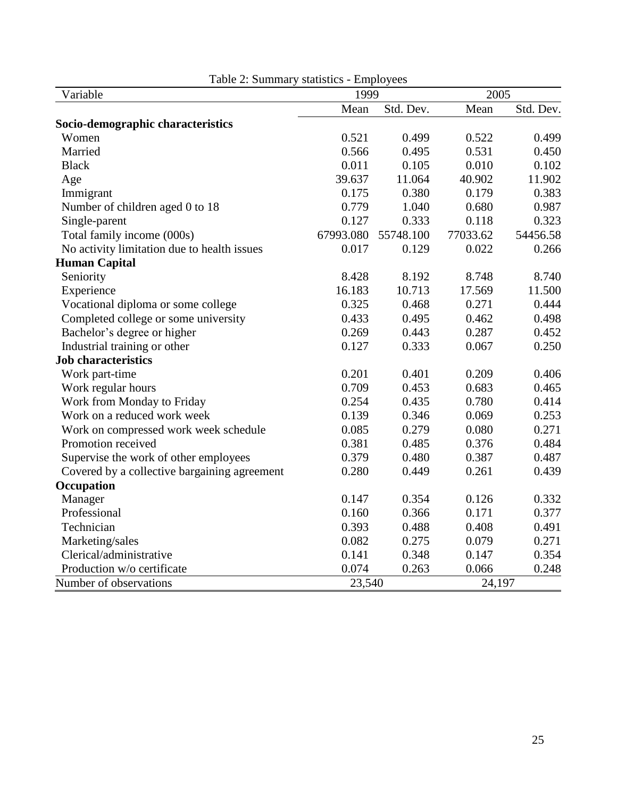| Variable                                     | 1999      |           |          | 2005      |  |
|----------------------------------------------|-----------|-----------|----------|-----------|--|
|                                              | Mean      | Std. Dev. | Mean     | Std. Dev. |  |
| Socio-demographic characteristics            |           |           |          |           |  |
| Women                                        | 0.521     | 0.499     | 0.522    | 0.499     |  |
| Married                                      | 0.566     | 0.495     | 0.531    | 0.450     |  |
| <b>Black</b>                                 | 0.011     | 0.105     | 0.010    | 0.102     |  |
| Age                                          | 39.637    | 11.064    | 40.902   | 11.902    |  |
| Immigrant                                    | 0.175     | 0.380     | 0.179    | 0.383     |  |
| Number of children aged 0 to 18              | 0.779     | 1.040     | 0.680    | 0.987     |  |
| Single-parent                                | 0.127     | 0.333     | 0.118    | 0.323     |  |
| Total family income (000s)                   | 67993.080 | 55748.100 | 77033.62 | 54456.58  |  |
| No activity limitation due to health issues  | 0.017     | 0.129     | 0.022    | 0.266     |  |
| <b>Human Capital</b>                         |           |           |          |           |  |
| Seniority                                    | 8.428     | 8.192     | 8.748    | 8.740     |  |
| Experience                                   | 16.183    | 10.713    | 17.569   | 11.500    |  |
| Vocational diploma or some college           | 0.325     | 0.468     | 0.271    | 0.444     |  |
| Completed college or some university         | 0.433     | 0.495     | 0.462    | 0.498     |  |
| Bachelor's degree or higher                  | 0.269     | 0.443     | 0.287    | 0.452     |  |
| Industrial training or other                 | 0.127     | 0.333     | 0.067    | 0.250     |  |
| <b>Job characteristics</b>                   |           |           |          |           |  |
| Work part-time                               | 0.201     | 0.401     | 0.209    | 0.406     |  |
| Work regular hours                           | 0.709     | 0.453     | 0.683    | 0.465     |  |
| Work from Monday to Friday                   | 0.254     | 0.435     | 0.780    | 0.414     |  |
| Work on a reduced work week                  | 0.139     | 0.346     | 0.069    | 0.253     |  |
| Work on compressed work week schedule        | 0.085     | 0.279     | 0.080    | 0.271     |  |
| Promotion received                           | 0.381     | 0.485     | 0.376    | 0.484     |  |
| Supervise the work of other employees        | 0.379     | 0.480     | 0.387    | 0.487     |  |
| Covered by a collective bargaining agreement | 0.280     | 0.449     | 0.261    | 0.439     |  |
| Occupation                                   |           |           |          |           |  |
| Manager                                      | 0.147     | 0.354     | 0.126    | 0.332     |  |
| Professional                                 | 0.160     | 0.366     | 0.171    | 0.377     |  |
| Technician                                   | 0.393     | 0.488     | 0.408    | 0.491     |  |
| Marketing/sales                              | 0.082     | 0.275     | 0.079    | 0.271     |  |
| Clerical/administrative                      | 0.141     | 0.348     | 0.147    | 0.354     |  |
| Production w/o certificate                   | 0.074     | 0.263     | 0.066    | 0.248     |  |
| Number of observations                       | 23,540    |           | 24,197   |           |  |

Table 2: Summary statistics - Employees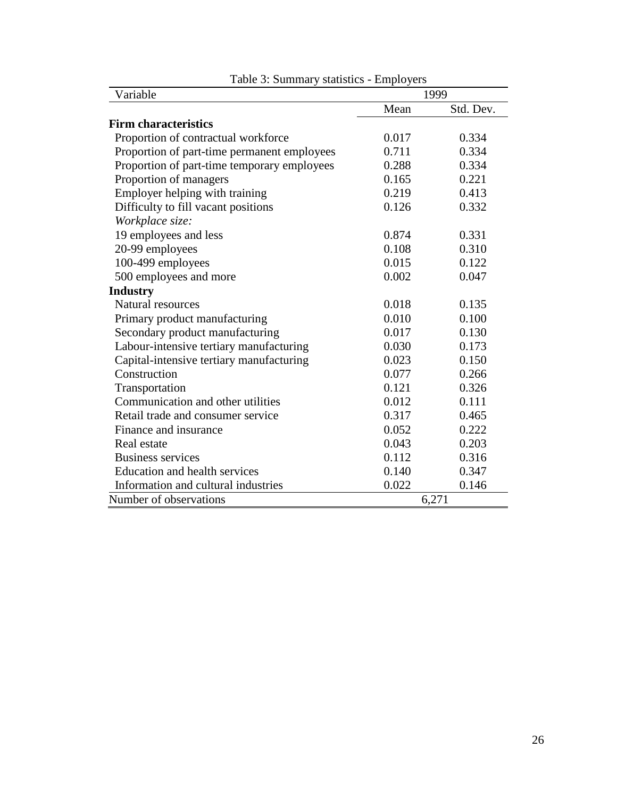| Variable                                    | 1999  |           |
|---------------------------------------------|-------|-----------|
|                                             | Mean  | Std. Dev. |
| <b>Firm characteristics</b>                 |       |           |
| Proportion of contractual workforce         | 0.017 | 0.334     |
| Proportion of part-time permanent employees | 0.711 | 0.334     |
| Proportion of part-time temporary employees | 0.288 | 0.334     |
| Proportion of managers                      | 0.165 | 0.221     |
| Employer helping with training              | 0.219 | 0.413     |
| Difficulty to fill vacant positions         | 0.126 | 0.332     |
| Workplace size:                             |       |           |
| 19 employees and less                       | 0.874 | 0.331     |
| 20-99 employees                             | 0.108 | 0.310     |
| 100-499 employees                           | 0.015 | 0.122     |
| 500 employees and more                      | 0.002 | 0.047     |
| <b>Industry</b>                             |       |           |
| <b>Natural resources</b>                    | 0.018 | 0.135     |
| Primary product manufacturing               | 0.010 | 0.100     |
| Secondary product manufacturing             | 0.017 | 0.130     |
| Labour-intensive tertiary manufacturing     | 0.030 | 0.173     |
| Capital-intensive tertiary manufacturing    | 0.023 | 0.150     |
| Construction                                | 0.077 | 0.266     |
| Transportation                              | 0.121 | 0.326     |
| Communication and other utilities           | 0.012 | 0.111     |
| Retail trade and consumer service           | 0.317 | 0.465     |
| Finance and insurance                       | 0.052 | 0.222     |
| Real estate                                 | 0.043 | 0.203     |
| <b>Business services</b>                    | 0.112 | 0.316     |
| <b>Education and health services</b>        | 0.140 | 0.347     |
| Information and cultural industries         | 0.022 | 0.146     |
| Number of observations                      |       | 6,271     |

Table 3: Summary statistics - Employers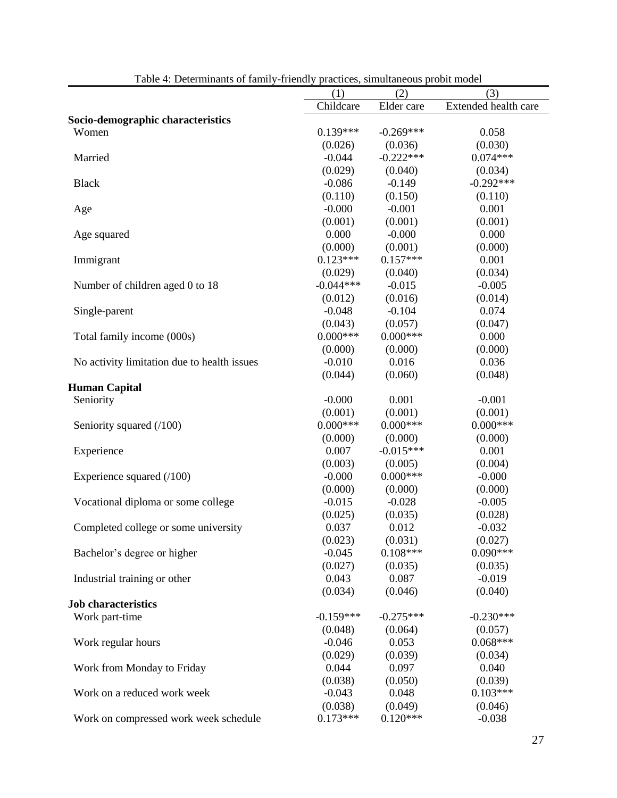|                                             | (1)                   | (2)                   | (3)                  |
|---------------------------------------------|-----------------------|-----------------------|----------------------|
|                                             | Childcare             | Elder care            | Extended health care |
| Socio-demographic characteristics           |                       |                       |                      |
| Women                                       | $0.139***$            | $-0.269***$           | 0.058                |
|                                             | (0.026)               | (0.036)               | (0.030)              |
| Married                                     | $-0.044$              | $-0.222***$           | $0.074***$           |
|                                             | (0.029)               | (0.040)               | (0.034)              |
| <b>Black</b>                                | $-0.086$              | $-0.149$              | $-0.292***$          |
|                                             | (0.110)               | (0.150)               | (0.110)              |
| Age                                         | $-0.000$              | $-0.001$              | 0.001                |
|                                             | (0.001)               | (0.001)               | (0.001)              |
| Age squared                                 | 0.000                 | $-0.000$              | 0.000                |
|                                             | (0.000)               | (0.001)               | (0.000)              |
| Immigrant                                   | $0.123***$            | $0.157***$            | 0.001                |
|                                             | (0.029)               | (0.040)               | (0.034)              |
| Number of children aged 0 to 18             | $-0.044***$           | $-0.015$              | $-0.005$             |
|                                             | (0.012)               | (0.016)               | (0.014)              |
| Single-parent                               | $-0.048$              | $-0.104$              | 0.074                |
|                                             | (0.043)               | (0.057)               | (0.047)              |
| Total family income (000s)                  | $0.000***$            | $0.000***$            | 0.000                |
|                                             | (0.000)               | (0.000)               | (0.000)              |
| No activity limitation due to health issues | $-0.010$              | 0.016                 | 0.036                |
|                                             | (0.044)               | (0.060)               | (0.048)              |
| <b>Human Capital</b>                        |                       |                       |                      |
| Seniority                                   | $-0.000$              | 0.001                 | $-0.001$             |
|                                             | (0.001)               | (0.001)               | (0.001)              |
| Seniority squared (/100)                    | $0.000***$            | $0.000***$            | $0.000***$           |
|                                             | (0.000)               | (0.000)               | (0.000)              |
| Experience                                  | 0.007                 | $-0.015***$           | 0.001                |
|                                             | (0.003)               | (0.005)               | (0.004)              |
| Experience squared $(100)$                  | $-0.000$              | $0.000***$            | $-0.000$             |
|                                             | (0.000)               | (0.000)               | (0.000)              |
| Vocational diploma or some college          | $-0.015$              | $-0.028$              | $-0.005$             |
|                                             | (0.025)               | (0.035)               | (0.028)              |
| Completed college or some university        | 0.037                 | 0.012                 | $-0.032$             |
|                                             | (0.023)               | (0.031)               | (0.027)              |
| Bachelor's degree or higher                 | $-0.045$              | $0.108***$            | $0.090***$           |
|                                             | (0.027)               | (0.035)               | (0.035)              |
| Industrial training or other                | 0.043                 | 0.087                 | $-0.019$             |
|                                             | (0.034)               | (0.046)               | (0.040)              |
| <b>Job characteristics</b>                  |                       |                       |                      |
| Work part-time                              | $-0.159***$           | $-0.275***$           | $-0.230***$          |
|                                             | (0.048)               | (0.064)               | (0.057)              |
| Work regular hours                          | $-0.046$              | 0.053                 | $0.068***$           |
|                                             | (0.029)               | (0.039)               | (0.034)<br>0.040     |
| Work from Monday to Friday                  | 0.044                 | 0.097                 |                      |
|                                             | (0.038)               | (0.050)               | (0.039)              |
| Work on a reduced work week                 | $-0.043$              | 0.048                 | $0.103***$           |
|                                             | (0.038)<br>$0.173***$ | (0.049)<br>$0.120***$ | (0.046)              |
| Work on compressed work week schedule       |                       |                       | $-0.038$             |

Table 4: Determinants of family-friendly practices, simultaneous probit model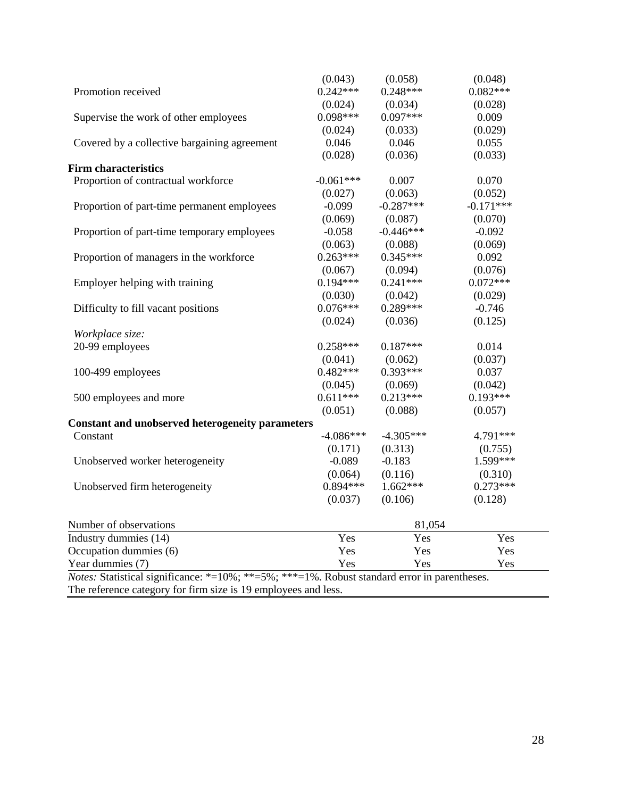|                                                                                                                | (0.043)     | (0.058)     | (0.048)     |
|----------------------------------------------------------------------------------------------------------------|-------------|-------------|-------------|
| Promotion received                                                                                             | $0.242***$  | $0.248***$  | $0.082***$  |
|                                                                                                                | (0.024)     | (0.034)     | (0.028)     |
| Supervise the work of other employees                                                                          | $0.098***$  | $0.097***$  | 0.009       |
|                                                                                                                | (0.024)     | (0.033)     | (0.029)     |
| Covered by a collective bargaining agreement                                                                   | 0.046       | 0.046       | 0.055       |
|                                                                                                                | (0.028)     | (0.036)     | (0.033)     |
| <b>Firm characteristics</b>                                                                                    |             |             |             |
| Proportion of contractual workforce                                                                            | $-0.061***$ | 0.007       | 0.070       |
|                                                                                                                | (0.027)     | (0.063)     | (0.052)     |
| Proportion of part-time permanent employees                                                                    | $-0.099$    | $-0.287***$ | $-0.171***$ |
|                                                                                                                | (0.069)     | (0.087)     | (0.070)     |
| Proportion of part-time temporary employees                                                                    | $-0.058$    | $-0.446***$ | $-0.092$    |
|                                                                                                                | (0.063)     | (0.088)     | (0.069)     |
| Proportion of managers in the workforce                                                                        | $0.263***$  | $0.345***$  | 0.092       |
|                                                                                                                | (0.067)     | (0.094)     | (0.076)     |
| Employer helping with training                                                                                 | $0.194***$  | $0.241***$  | $0.072***$  |
|                                                                                                                | (0.030)     | (0.042)     | (0.029)     |
| Difficulty to fill vacant positions                                                                            | $0.076***$  | $0.289***$  | $-0.746$    |
|                                                                                                                | (0.024)     | (0.036)     | (0.125)     |
| Workplace size:                                                                                                |             |             |             |
| 20-99 employees                                                                                                | $0.258***$  | $0.187***$  | 0.014       |
|                                                                                                                | (0.041)     | (0.062)     | (0.037)     |
| 100-499 employees                                                                                              | $0.482***$  | $0.393***$  | 0.037       |
|                                                                                                                | (0.045)     | (0.069)     | (0.042)     |
| 500 employees and more                                                                                         | $0.611***$  | $0.213***$  | $0.193***$  |
|                                                                                                                | (0.051)     | (0.088)     | (0.057)     |
| <b>Constant and unobserved heterogeneity parameters</b>                                                        |             |             |             |
| Constant                                                                                                       | $-4.086***$ | $-4.305***$ | 4.791***    |
|                                                                                                                | (0.171)     | (0.313)     | (0.755)     |
| Unobserved worker heterogeneity                                                                                | $-0.089$    | $-0.183$    | 1.599***    |
|                                                                                                                | (0.064)     | (0.116)     | (0.310)     |
| Unobserved firm heterogeneity                                                                                  | $0.894***$  | $1.662***$  | $0.273***$  |
|                                                                                                                | (0.037)     | (0.106)     | (0.128)     |
| Number of observations                                                                                         | 81,054      |             |             |
| Industry dummies (14)                                                                                          | Yes         | Yes         | Yes         |
| Occupation dummies (6)                                                                                         | Yes         | Yes         | Yes         |
| Year dummies (7)                                                                                               | Yes         | Yes         | Yes         |
| <i>Notes:</i> Statistical significance: $*=10\%$ ; $**=5\%$ ; $**=1\%$ . Robust standard error in parentheses. |             |             |             |

The reference category for firm size is 19 employees and less.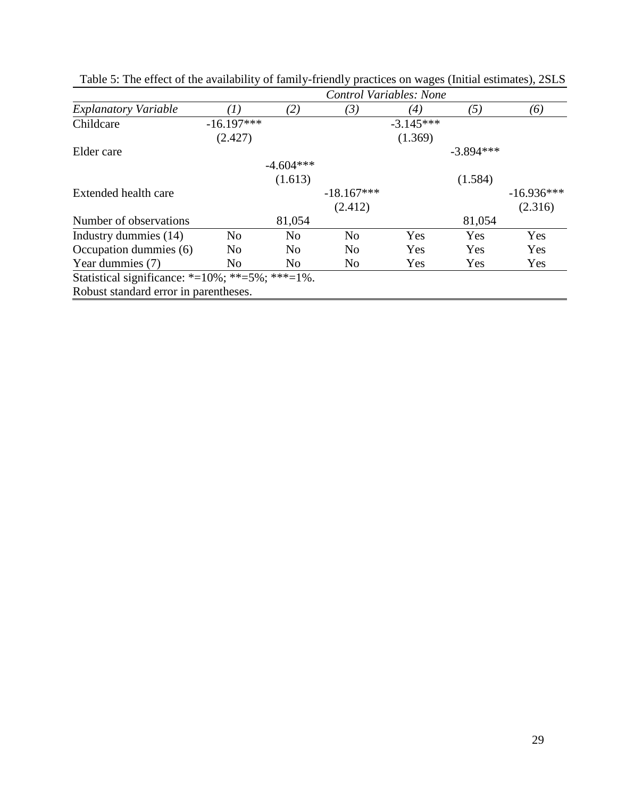|                                                                |                |                | Control Variables: None |             |             |              |
|----------------------------------------------------------------|----------------|----------------|-------------------------|-------------|-------------|--------------|
| <b>Explanatory Variable</b>                                    | $\, T)$        | (2)            | (3)                     | (4)         | (5)         | (6)          |
| Childcare                                                      | $-16.197***$   |                |                         | $-3.145***$ |             |              |
|                                                                | (2.427)        |                |                         | (1.369)     |             |              |
| Elder care                                                     |                |                |                         |             | $-3.894***$ |              |
|                                                                |                | $-4.604***$    |                         |             |             |              |
|                                                                |                | (1.613)        |                         |             | (1.584)     |              |
| Extended health care                                           |                |                | $-18.167***$            |             |             | $-16.936***$ |
|                                                                |                |                | (2.412)                 |             |             | (2.316)      |
| Number of observations                                         |                | 81,054         |                         |             | 81,054      |              |
| Industry dummies (14)                                          | N <sub>o</sub> | N <sub>0</sub> | N <sub>o</sub>          | Yes         | Yes         | Yes          |
| Occupation dummies (6)                                         | N <sub>0</sub> | N <sub>0</sub> | N <sub>o</sub>          | Yes         | Yes         | Yes          |
| Year dummies (7)                                               | N <sub>0</sub> | N <sub>0</sub> | N <sub>0</sub>          | Yes         | Yes         | Yes          |
| Statistical significance: *= $10\%$ ; **= $5\%$ ; ***= $1\%$ . |                |                |                         |             |             |              |
| Robust standard error in parentheses.                          |                |                |                         |             |             |              |

Table 5: The effect of the availability of family-friendly practices on wages (Initial estimates), 2SLS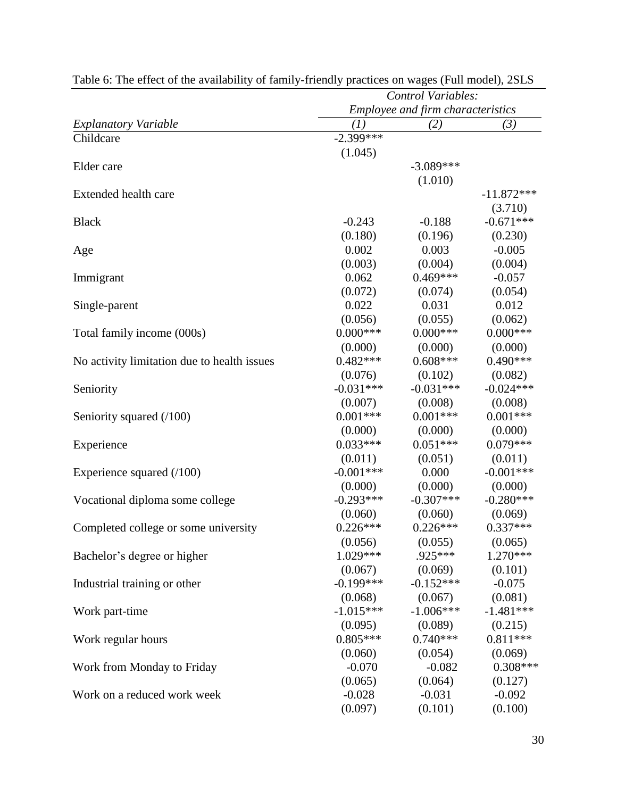| Employee and firm characteristics<br>(I)<br>(3)<br>(2)<br>$-2.399$ ***<br>(1.045)<br>$-3.089***$<br>(1.010)<br>$-11.872***$<br>(3.710)<br>$-0.671***$<br>$-0.243$<br>$-0.188$<br>(0.180)<br>(0.196)<br>(0.230)<br>0.002<br>0.003<br>$-0.005$<br>(0.004)<br>(0.003)<br>(0.004)<br>$0.469***$<br>0.062<br>$-0.057$<br>(0.072)<br>(0.054)<br>(0.074)<br>0.022<br>0.012<br>0.031<br>(0.056)<br>(0.055)<br>(0.062)<br>$0.000***$<br>$0.000$ ***<br>$0.000***$<br>(0.000)<br>(0.000)<br>(0.000)<br>$0.482***$<br>$0.608***$<br>$0.490***$<br>(0.076)<br>(0.102)<br>(0.082)<br>$-0.031***$<br>$-0.031***$<br>$-0.024***$<br>(0.007)<br>(0.008)<br>(0.008)<br>$0.001***$<br>$0.001***$<br>$0.001***$<br>(0.000)<br>(0.000)<br>(0.000)<br>$0.033***$<br>$0.051***$<br>$0.079***$<br>(0.011)<br>(0.011)<br>(0.051)<br>$-0.001***$<br>$-0.001***$<br>0.000<br>(0.000)<br>(0.000)<br>(0.000)<br>$-0.293***$<br>$-0.307***$<br>$-0.280***$<br>(0.060)<br>(0.060)<br>(0.069)<br>$0.226***$<br>$0.226***$<br>$0.337***$<br>(0.056)<br>(0.055)<br>(0.065)<br>$1.029***$<br>.925***<br>$1.270***$<br>(0.101)<br>(0.067)<br>(0.069)<br>$-0.152***$<br>$-0.199***$<br>$-0.075$<br>(0.068)<br>(0.067)<br>(0.081)<br>$-1.015***$<br>$-1.006***$<br>$-1.481***$<br>(0.095)<br>(0.089)<br>(0.215)<br>$0.805***$<br>$0.740***$<br>$0.811***$<br>(0.060)<br>(0.054)<br>(0.069)<br>$0.308***$<br>$-0.070$<br>$-0.082$<br>(0.065)<br>(0.064)<br>(0.127)<br>$-0.031$<br>$-0.028$<br>$-0.092$ |                                             | <b>Control Variables:</b> |  |  |
|------------------------------------------------------------------------------------------------------------------------------------------------------------------------------------------------------------------------------------------------------------------------------------------------------------------------------------------------------------------------------------------------------------------------------------------------------------------------------------------------------------------------------------------------------------------------------------------------------------------------------------------------------------------------------------------------------------------------------------------------------------------------------------------------------------------------------------------------------------------------------------------------------------------------------------------------------------------------------------------------------------------------------------------------------------------------------------------------------------------------------------------------------------------------------------------------------------------------------------------------------------------------------------------------------------------------------------------------------------------------------------------------------------------------------------------------------------------|---------------------------------------------|---------------------------|--|--|
|                                                                                                                                                                                                                                                                                                                                                                                                                                                                                                                                                                                                                                                                                                                                                                                                                                                                                                                                                                                                                                                                                                                                                                                                                                                                                                                                                                                                                                                                  |                                             |                           |  |  |
|                                                                                                                                                                                                                                                                                                                                                                                                                                                                                                                                                                                                                                                                                                                                                                                                                                                                                                                                                                                                                                                                                                                                                                                                                                                                                                                                                                                                                                                                  | <b>Explanatory Variable</b>                 |                           |  |  |
|                                                                                                                                                                                                                                                                                                                                                                                                                                                                                                                                                                                                                                                                                                                                                                                                                                                                                                                                                                                                                                                                                                                                                                                                                                                                                                                                                                                                                                                                  | Childcare                                   |                           |  |  |
|                                                                                                                                                                                                                                                                                                                                                                                                                                                                                                                                                                                                                                                                                                                                                                                                                                                                                                                                                                                                                                                                                                                                                                                                                                                                                                                                                                                                                                                                  |                                             |                           |  |  |
|                                                                                                                                                                                                                                                                                                                                                                                                                                                                                                                                                                                                                                                                                                                                                                                                                                                                                                                                                                                                                                                                                                                                                                                                                                                                                                                                                                                                                                                                  | Elder care                                  |                           |  |  |
|                                                                                                                                                                                                                                                                                                                                                                                                                                                                                                                                                                                                                                                                                                                                                                                                                                                                                                                                                                                                                                                                                                                                                                                                                                                                                                                                                                                                                                                                  |                                             |                           |  |  |
|                                                                                                                                                                                                                                                                                                                                                                                                                                                                                                                                                                                                                                                                                                                                                                                                                                                                                                                                                                                                                                                                                                                                                                                                                                                                                                                                                                                                                                                                  | Extended health care                        |                           |  |  |
|                                                                                                                                                                                                                                                                                                                                                                                                                                                                                                                                                                                                                                                                                                                                                                                                                                                                                                                                                                                                                                                                                                                                                                                                                                                                                                                                                                                                                                                                  |                                             |                           |  |  |
|                                                                                                                                                                                                                                                                                                                                                                                                                                                                                                                                                                                                                                                                                                                                                                                                                                                                                                                                                                                                                                                                                                                                                                                                                                                                                                                                                                                                                                                                  | <b>Black</b>                                |                           |  |  |
|                                                                                                                                                                                                                                                                                                                                                                                                                                                                                                                                                                                                                                                                                                                                                                                                                                                                                                                                                                                                                                                                                                                                                                                                                                                                                                                                                                                                                                                                  |                                             |                           |  |  |
|                                                                                                                                                                                                                                                                                                                                                                                                                                                                                                                                                                                                                                                                                                                                                                                                                                                                                                                                                                                                                                                                                                                                                                                                                                                                                                                                                                                                                                                                  | Age                                         |                           |  |  |
|                                                                                                                                                                                                                                                                                                                                                                                                                                                                                                                                                                                                                                                                                                                                                                                                                                                                                                                                                                                                                                                                                                                                                                                                                                                                                                                                                                                                                                                                  |                                             |                           |  |  |
|                                                                                                                                                                                                                                                                                                                                                                                                                                                                                                                                                                                                                                                                                                                                                                                                                                                                                                                                                                                                                                                                                                                                                                                                                                                                                                                                                                                                                                                                  | Immigrant                                   |                           |  |  |
|                                                                                                                                                                                                                                                                                                                                                                                                                                                                                                                                                                                                                                                                                                                                                                                                                                                                                                                                                                                                                                                                                                                                                                                                                                                                                                                                                                                                                                                                  |                                             |                           |  |  |
|                                                                                                                                                                                                                                                                                                                                                                                                                                                                                                                                                                                                                                                                                                                                                                                                                                                                                                                                                                                                                                                                                                                                                                                                                                                                                                                                                                                                                                                                  | Single-parent                               |                           |  |  |
|                                                                                                                                                                                                                                                                                                                                                                                                                                                                                                                                                                                                                                                                                                                                                                                                                                                                                                                                                                                                                                                                                                                                                                                                                                                                                                                                                                                                                                                                  |                                             |                           |  |  |
|                                                                                                                                                                                                                                                                                                                                                                                                                                                                                                                                                                                                                                                                                                                                                                                                                                                                                                                                                                                                                                                                                                                                                                                                                                                                                                                                                                                                                                                                  | Total family income (000s)                  |                           |  |  |
|                                                                                                                                                                                                                                                                                                                                                                                                                                                                                                                                                                                                                                                                                                                                                                                                                                                                                                                                                                                                                                                                                                                                                                                                                                                                                                                                                                                                                                                                  |                                             |                           |  |  |
|                                                                                                                                                                                                                                                                                                                                                                                                                                                                                                                                                                                                                                                                                                                                                                                                                                                                                                                                                                                                                                                                                                                                                                                                                                                                                                                                                                                                                                                                  | No activity limitation due to health issues |                           |  |  |
|                                                                                                                                                                                                                                                                                                                                                                                                                                                                                                                                                                                                                                                                                                                                                                                                                                                                                                                                                                                                                                                                                                                                                                                                                                                                                                                                                                                                                                                                  |                                             |                           |  |  |
|                                                                                                                                                                                                                                                                                                                                                                                                                                                                                                                                                                                                                                                                                                                                                                                                                                                                                                                                                                                                                                                                                                                                                                                                                                                                                                                                                                                                                                                                  | Seniority                                   |                           |  |  |
|                                                                                                                                                                                                                                                                                                                                                                                                                                                                                                                                                                                                                                                                                                                                                                                                                                                                                                                                                                                                                                                                                                                                                                                                                                                                                                                                                                                                                                                                  |                                             |                           |  |  |
|                                                                                                                                                                                                                                                                                                                                                                                                                                                                                                                                                                                                                                                                                                                                                                                                                                                                                                                                                                                                                                                                                                                                                                                                                                                                                                                                                                                                                                                                  | Seniority squared (/100)                    |                           |  |  |
|                                                                                                                                                                                                                                                                                                                                                                                                                                                                                                                                                                                                                                                                                                                                                                                                                                                                                                                                                                                                                                                                                                                                                                                                                                                                                                                                                                                                                                                                  |                                             |                           |  |  |
|                                                                                                                                                                                                                                                                                                                                                                                                                                                                                                                                                                                                                                                                                                                                                                                                                                                                                                                                                                                                                                                                                                                                                                                                                                                                                                                                                                                                                                                                  | Experience                                  |                           |  |  |
|                                                                                                                                                                                                                                                                                                                                                                                                                                                                                                                                                                                                                                                                                                                                                                                                                                                                                                                                                                                                                                                                                                                                                                                                                                                                                                                                                                                                                                                                  |                                             |                           |  |  |
|                                                                                                                                                                                                                                                                                                                                                                                                                                                                                                                                                                                                                                                                                                                                                                                                                                                                                                                                                                                                                                                                                                                                                                                                                                                                                                                                                                                                                                                                  | Experience squared $(100)$                  |                           |  |  |
|                                                                                                                                                                                                                                                                                                                                                                                                                                                                                                                                                                                                                                                                                                                                                                                                                                                                                                                                                                                                                                                                                                                                                                                                                                                                                                                                                                                                                                                                  |                                             |                           |  |  |
|                                                                                                                                                                                                                                                                                                                                                                                                                                                                                                                                                                                                                                                                                                                                                                                                                                                                                                                                                                                                                                                                                                                                                                                                                                                                                                                                                                                                                                                                  | Vocational diploma some college             |                           |  |  |
|                                                                                                                                                                                                                                                                                                                                                                                                                                                                                                                                                                                                                                                                                                                                                                                                                                                                                                                                                                                                                                                                                                                                                                                                                                                                                                                                                                                                                                                                  |                                             |                           |  |  |
|                                                                                                                                                                                                                                                                                                                                                                                                                                                                                                                                                                                                                                                                                                                                                                                                                                                                                                                                                                                                                                                                                                                                                                                                                                                                                                                                                                                                                                                                  | Completed college or some university        |                           |  |  |
|                                                                                                                                                                                                                                                                                                                                                                                                                                                                                                                                                                                                                                                                                                                                                                                                                                                                                                                                                                                                                                                                                                                                                                                                                                                                                                                                                                                                                                                                  |                                             |                           |  |  |
|                                                                                                                                                                                                                                                                                                                                                                                                                                                                                                                                                                                                                                                                                                                                                                                                                                                                                                                                                                                                                                                                                                                                                                                                                                                                                                                                                                                                                                                                  | Bachelor's degree or higher                 |                           |  |  |
|                                                                                                                                                                                                                                                                                                                                                                                                                                                                                                                                                                                                                                                                                                                                                                                                                                                                                                                                                                                                                                                                                                                                                                                                                                                                                                                                                                                                                                                                  |                                             |                           |  |  |
|                                                                                                                                                                                                                                                                                                                                                                                                                                                                                                                                                                                                                                                                                                                                                                                                                                                                                                                                                                                                                                                                                                                                                                                                                                                                                                                                                                                                                                                                  | Industrial training or other                |                           |  |  |
|                                                                                                                                                                                                                                                                                                                                                                                                                                                                                                                                                                                                                                                                                                                                                                                                                                                                                                                                                                                                                                                                                                                                                                                                                                                                                                                                                                                                                                                                  |                                             |                           |  |  |
|                                                                                                                                                                                                                                                                                                                                                                                                                                                                                                                                                                                                                                                                                                                                                                                                                                                                                                                                                                                                                                                                                                                                                                                                                                                                                                                                                                                                                                                                  | Work part-time                              |                           |  |  |
|                                                                                                                                                                                                                                                                                                                                                                                                                                                                                                                                                                                                                                                                                                                                                                                                                                                                                                                                                                                                                                                                                                                                                                                                                                                                                                                                                                                                                                                                  |                                             |                           |  |  |
|                                                                                                                                                                                                                                                                                                                                                                                                                                                                                                                                                                                                                                                                                                                                                                                                                                                                                                                                                                                                                                                                                                                                                                                                                                                                                                                                                                                                                                                                  | Work regular hours                          |                           |  |  |
|                                                                                                                                                                                                                                                                                                                                                                                                                                                                                                                                                                                                                                                                                                                                                                                                                                                                                                                                                                                                                                                                                                                                                                                                                                                                                                                                                                                                                                                                  |                                             |                           |  |  |
|                                                                                                                                                                                                                                                                                                                                                                                                                                                                                                                                                                                                                                                                                                                                                                                                                                                                                                                                                                                                                                                                                                                                                                                                                                                                                                                                                                                                                                                                  | Work from Monday to Friday                  |                           |  |  |
|                                                                                                                                                                                                                                                                                                                                                                                                                                                                                                                                                                                                                                                                                                                                                                                                                                                                                                                                                                                                                                                                                                                                                                                                                                                                                                                                                                                                                                                                  |                                             |                           |  |  |
|                                                                                                                                                                                                                                                                                                                                                                                                                                                                                                                                                                                                                                                                                                                                                                                                                                                                                                                                                                                                                                                                                                                                                                                                                                                                                                                                                                                                                                                                  | Work on a reduced work week                 |                           |  |  |
| (0.097)<br>(0.101)<br>(0.100)                                                                                                                                                                                                                                                                                                                                                                                                                                                                                                                                                                                                                                                                                                                                                                                                                                                                                                                                                                                                                                                                                                                                                                                                                                                                                                                                                                                                                                    |                                             |                           |  |  |

Table 6: The effect of the availability of family-friendly practices on wages (Full model), 2SLS